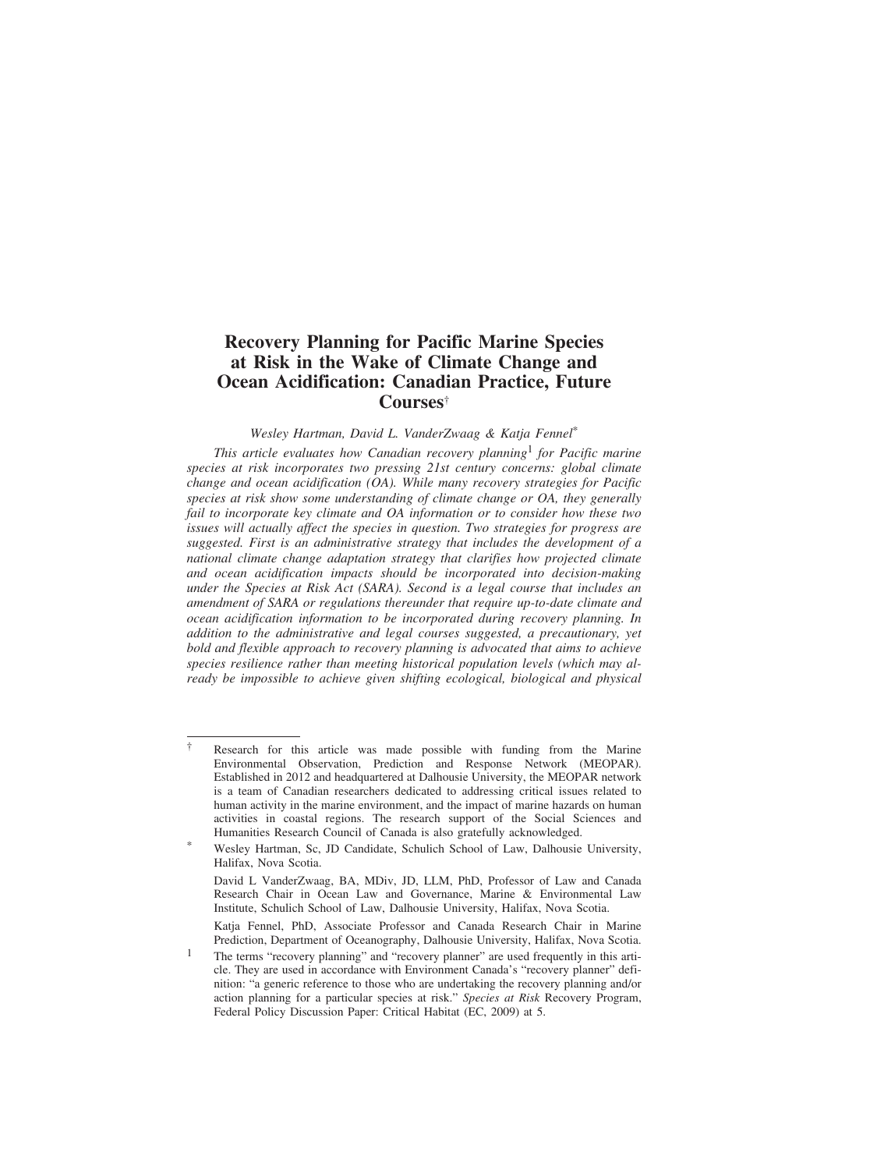# **Recovery Planning for Pacific Marine Species at Risk in the Wake of Climate Change and Ocean Acidification: Canadian Practice, Future Courses**†

*Wesley Hartman, David L. VanderZwaag & Katja Fennel*\*

*This article evaluates how Canadian recovery planning*1 *for Pacific marine species at risk incorporates two pressing 21st century concerns: global climate change and ocean acidification (OA). While many recovery strategies for Pacific species at risk show some understanding of climate change or OA, they generally fail to incorporate key climate and OA information or to consider how these two issues will actually affect the species in question. Two strategies for progress are suggested. First is an administrative strategy that includes the development of a national climate change adaptation strategy that clarifies how projected climate and ocean acidification impacts should be incorporated into decision-making under the Species at Risk Act (SARA). Second is a legal course that includes an amendment of SARA or regulations thereunder that require up-to-date climate and ocean acidification information to be incorporated during recovery planning. In addition to the administrative and legal courses suggested, a precautionary, yet bold and flexible approach to recovery planning is advocated that aims to achieve species resilience rather than meeting historical population levels (which may already be impossible to achieve given shifting ecological, biological and physical*

<sup>†</sup> Research for this article was made possible with funding from the Marine Environmental Observation, Prediction and Response Network (MEOPAR). Established in 2012 and headquartered at Dalhousie University, the MEOPAR network is a team of Canadian researchers dedicated to addressing critical issues related to human activity in the marine environment, and the impact of marine hazards on human activities in coastal regions. The research support of the Social Sciences and Humanities Research Council of Canada is also gratefully acknowledged.

<sup>\*</sup> Wesley Hartman, Sc, JD Candidate, Schulich School of Law, Dalhousie University, Halifax, Nova Scotia.

David L VanderZwaag, BA, MDiv, JD, LLM, PhD, Professor of Law and Canada Research Chair in Ocean Law and Governance, Marine & Environmental Law Institute, Schulich School of Law, Dalhousie University, Halifax, Nova Scotia.

Katja Fennel, PhD, Associate Professor and Canada Research Chair in Marine Prediction, Department of Oceanography, Dalhousie University, Halifax, Nova Scotia.

<sup>&</sup>lt;sup>1</sup> The terms "recovery planning" and "recovery planner" are used frequently in this article. They are used in accordance with Environment Canada's "recovery planner" definition: "a generic reference to those who are undertaking the recovery planning and/or action planning for a particular species at risk." *Species at Risk* Recovery Program, Federal Policy Discussion Paper: Critical Habitat (EC, 2009) at 5.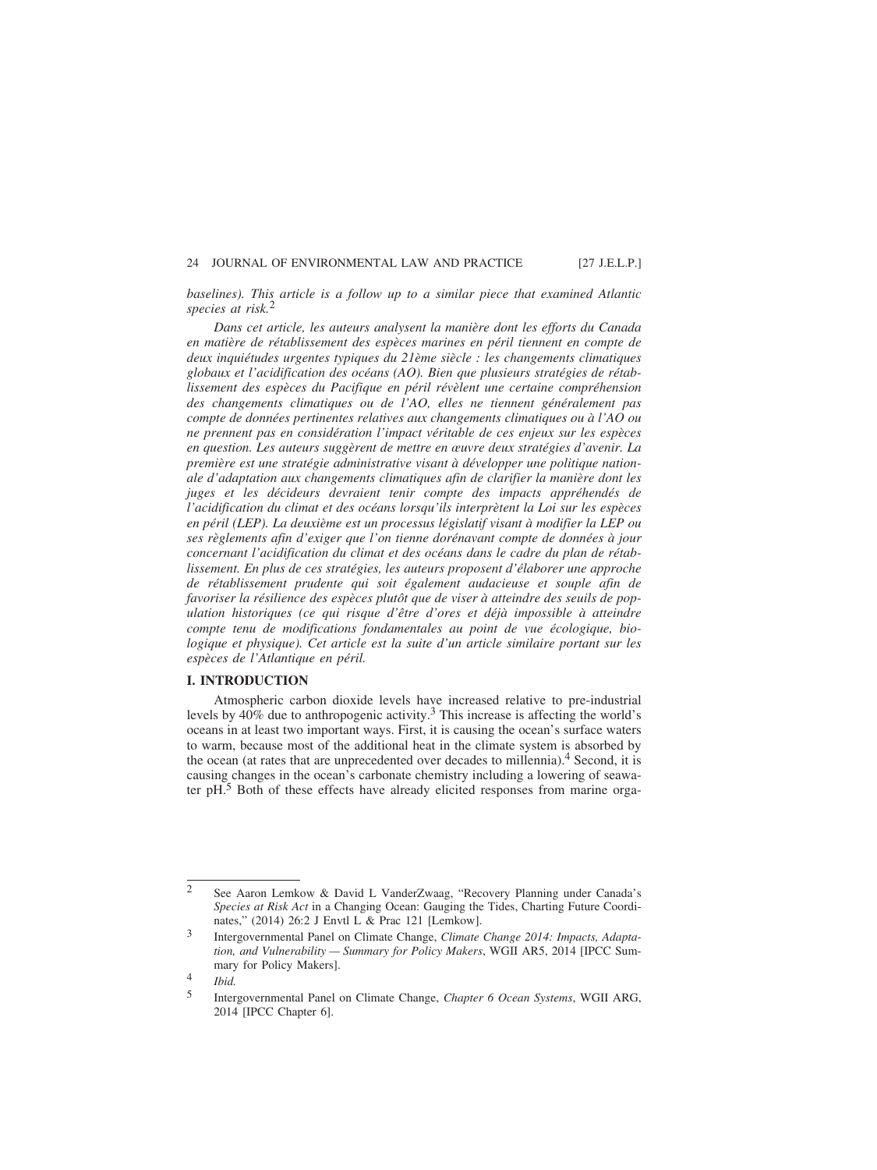*baselines). This article is a follow up to a similar piece that examined Atlantic species at risk.*<sup>2</sup>

Dans cet article, les auteurs analysent la manière dont les efforts du Canada *en mati`ere de r´etablissement des esp`eces marines en p´eril tiennent en compte de* deux inquiétudes urgentes typiques du 21ème siècle : les changements climatiques globaux et l'acidification des océans (AO). Bien que plusieurs stratégies de rétablissement des espèces du Pacifique en péril révèlent une certaine compréhension des changements climatiques ou de l'AO, elles ne tiennent généralement pas *compte de donn´ees pertinentes relatives aux changements climatiques ou `a l'AO ou ne prennent pas en consid´eration l'impact v´eritable de ces enjeux sur les esp`eces* en question. Les auteurs suggèrent de mettre en œuvre deux stratégies d'avenir. La *première est une stratégie administrative visant à développer une politique nationale d'adaptation aux changements climatiques afin de clarifier la manière dont les* juges et les décideurs devraient tenir compte des impacts appréhendés de *l'acidification du climat et des océans lorsqu'ils interprètent la Loi sur les espèces* en péril (LEP). La deuxième est un processus législatif visant à modifier la LEP ou *ses r`eglements afin d'exiger que l'on tienne dor´enavant compte de donn´ees `a jour* concernant l'acidification du climat et des océans dans le cadre du plan de rétablissement. En plus de ces stratégies, les auteurs proposent d'élaborer une approche *de r´etablissement prudente qui soit ´egalement audacieuse et souple afin de* favoriser la résilience des espèces plutôt que de viser à atteindre des seuils de pop*ulation historiques (ce qui risque d'ˆetre d'ores et d´ej`a impossible `a atteindre compte tenu de modifications fondamentales au point de vue écologique, biologique et physique). Cet article est la suite d'un article similaire portant sur les espèces de l'Atlantique en péril.* 

## **I. INTRODUCTION**

Atmospheric carbon dioxide levels have increased relative to pre-industrial levels by 40% due to anthropogenic activity.<sup>3</sup> This increase is affecting the world's oceans in at least two important ways. First, it is causing the ocean's surface waters to warm, because most of the additional heat in the climate system is absorbed by the ocean (at rates that are unprecedented over decades to millennia).<sup>4</sup> Second, it is causing changes in the ocean's carbonate chemistry including a lowering of seawater pH.<sup>5</sup> Both of these effects have already elicited responses from marine orga-

<sup>2</sup> See Aaron Lemkow & David L VanderZwaag, "Recovery Planning under Canada's *Species at Risk Act* in a Changing Ocean: Gauging the Tides, Charting Future Coordinates," (2014) 26:2 J Envtl L & Prac 121 [Lemkow].

<sup>3</sup> Intergovernmental Panel on Climate Change, *Climate Change 2014: Impacts, Adaptation, and Vulnerability — Summary for Policy Makers*, WGII AR5, 2014 [IPCC Summary for Policy Makers].

<sup>4</sup> *Ibid.*

<sup>5</sup> Intergovernmental Panel on Climate Change, *Chapter 6 Ocean Systems*, WGII ARG, 2014 [IPCC Chapter 6].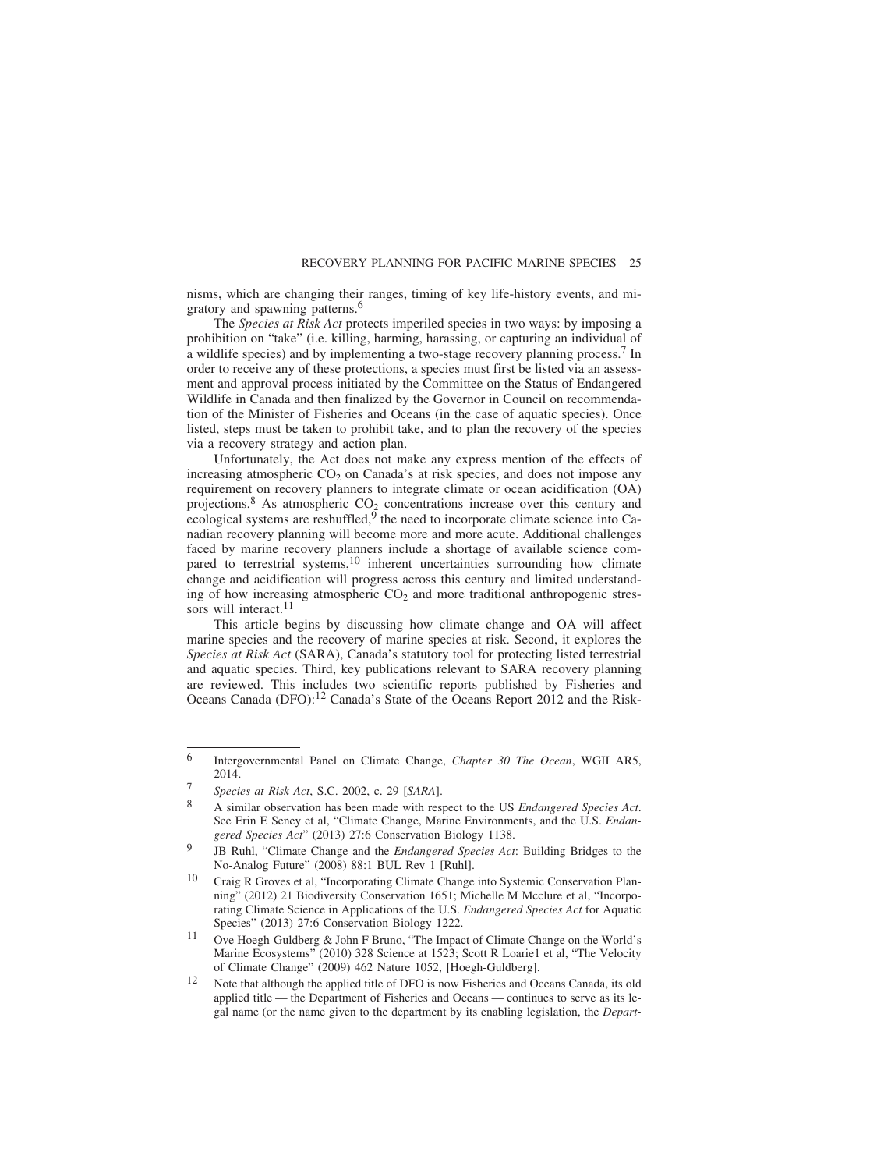nisms, which are changing their ranges, timing of key life-history events, and migratory and spawning patterns.<sup>6</sup>

The *Species at Risk Act* protects imperiled species in two ways: by imposing a prohibition on "take" (i.e. killing, harming, harassing, or capturing an individual of a wildlife species) and by implementing a two-stage recovery planning process.7 In order to receive any of these protections, a species must first be listed via an assessment and approval process initiated by the Committee on the Status of Endangered Wildlife in Canada and then finalized by the Governor in Council on recommendation of the Minister of Fisheries and Oceans (in the case of aquatic species). Once listed, steps must be taken to prohibit take, and to plan the recovery of the species via a recovery strategy and action plan.

Unfortunately, the Act does not make any express mention of the effects of increasing atmospheric  $CO<sub>2</sub>$  on Canada's at risk species, and does not impose any requirement on recovery planners to integrate climate or ocean acidification (OA) projections.<sup>8</sup> As atmospheric  $CO_2$  concentrations increase over this century and ecological systems are reshuffled,  $\overline{9}$  the need to incorporate climate science into Canadian recovery planning will become more and more acute. Additional challenges faced by marine recovery planners include a shortage of available science compared to terrestrial systems,<sup>10</sup> inherent uncertainties surrounding how climate change and acidification will progress across this century and limited understanding of how increasing atmospheric  $CO<sub>2</sub>$  and more traditional anthropogenic stressors will interact.<sup>11</sup>

This article begins by discussing how climate change and OA will affect marine species and the recovery of marine species at risk. Second, it explores the *Species at Risk Act* (SARA), Canada's statutory tool for protecting listed terrestrial and aquatic species. Third, key publications relevant to SARA recovery planning are reviewed. This includes two scientific reports published by Fisheries and Oceans Canada (DFO):<sup>12</sup> Canada's State of the Oceans Report 2012 and the Risk-

<sup>6</sup> Intergovernmental Panel on Climate Change, *Chapter 30 The Ocean*, WGII AR5, 2014.

<sup>7</sup> *Species at Risk Act*, S.C. 2002, c. 29 [*SARA*].

<sup>8</sup> A similar observation has been made with respect to the US *Endangered Species Act*. See Erin E Seney et al, "Climate Change, Marine Environments, and the U.S. *Endangered Species Act*" (2013) 27:6 Conservation Biology 1138.

<sup>9</sup> JB Ruhl, "Climate Change and the *Endangered Species Act*: Building Bridges to the No-Analog Future" (2008) 88:1 BUL Rev 1 [Ruhl].

<sup>10</sup> Craig R Groves et al, "Incorporating Climate Change into Systemic Conservation Planning" (2012) 21 Biodiversity Conservation 1651; Michelle M Mcclure et al, "Incorporating Climate Science in Applications of the U.S. *Endangered Species Act* for Aquatic Species" (2013) 27:6 Conservation Biology 1222.

<sup>11</sup> Ove Hoegh-Guldberg & John F Bruno, "The Impact of Climate Change on the World's Marine Ecosystems" (2010) 328 Science at 1523; Scott R Loarie1 et al, "The Velocity of Climate Change" (2009) 462 Nature 1052, [Hoegh-Guldberg].

<sup>12</sup> Note that although the applied title of DFO is now Fisheries and Oceans Canada, its old applied title — the Department of Fisheries and Oceans — continues to serve as its legal name (or the name given to the department by its enabling legislation, the *Depart-*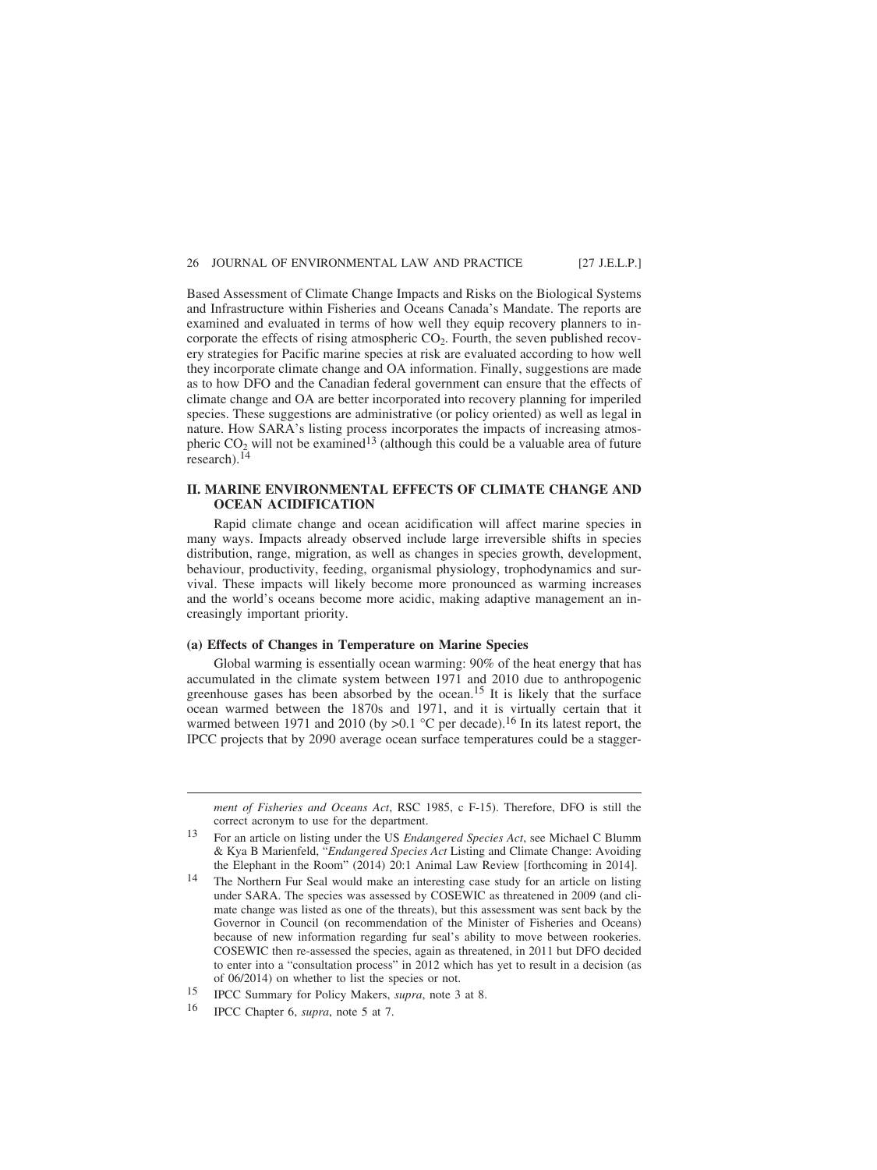Based Assessment of Climate Change Impacts and Risks on the Biological Systems and Infrastructure within Fisheries and Oceans Canada's Mandate. The reports are examined and evaluated in terms of how well they equip recovery planners to incorporate the effects of rising atmospheric  $CO<sub>2</sub>$ . Fourth, the seven published recovery strategies for Pacific marine species at risk are evaluated according to how well they incorporate climate change and OA information. Finally, suggestions are made as to how DFO and the Canadian federal government can ensure that the effects of climate change and OA are better incorporated into recovery planning for imperiled species. These suggestions are administrative (or policy oriented) as well as legal in nature. How SARA's listing process incorporates the impacts of increasing atmospheric  $CO<sub>2</sub>$  will not be examined<sup>13</sup> (although this could be a valuable area of future research). $14$ 

## **II. MARINE ENVIRONMENTAL EFFECTS OF CLIMATE CHANGE AND OCEAN ACIDIFICATION**

Rapid climate change and ocean acidification will affect marine species in many ways. Impacts already observed include large irreversible shifts in species distribution, range, migration, as well as changes in species growth, development, behaviour, productivity, feeding, organismal physiology, trophodynamics and survival. These impacts will likely become more pronounced as warming increases and the world's oceans become more acidic, making adaptive management an increasingly important priority.

## **(a) Effects of Changes in Temperature on Marine Species**

Global warming is essentially ocean warming: 90% of the heat energy that has accumulated in the climate system between 1971 and 2010 due to anthropogenic greenhouse gases has been absorbed by the ocean.<sup>15</sup> It is likely that the surface ocean warmed between the 1870s and 1971, and it is virtually certain that it warmed between 1971 and 2010 (by >0.1 °C per decade).<sup>16</sup> In its latest report, the IPCC projects that by 2090 average ocean surface temperatures could be a stagger-

*ment of Fisheries and Oceans Act*, RSC 1985, c F-15). Therefore, DFO is still the correct acronym to use for the department.

<sup>13</sup> For an article on listing under the US *Endangered Species Act*, see Michael C Blumm & Kya B Marienfeld, "*Endangered Species Act* Listing and Climate Change: Avoiding the Elephant in the Room" (2014) 20:1 Animal Law Review [forthcoming in 2014].

<sup>14</sup> The Northern Fur Seal would make an interesting case study for an article on listing under SARA. The species was assessed by COSEWIC as threatened in 2009 (and climate change was listed as one of the threats), but this assessment was sent back by the Governor in Council (on recommendation of the Minister of Fisheries and Oceans) because of new information regarding fur seal's ability to move between rookeries. COSEWIC then re-assessed the species, again as threatened, in 2011 but DFO decided to enter into a "consultation process" in 2012 which has yet to result in a decision (as of 06/2014) on whether to list the species or not.

<sup>15</sup> IPCC Summary for Policy Makers, *supra*, note 3 at 8.

<sup>16</sup> IPCC Chapter 6, *supra*, note 5 at 7.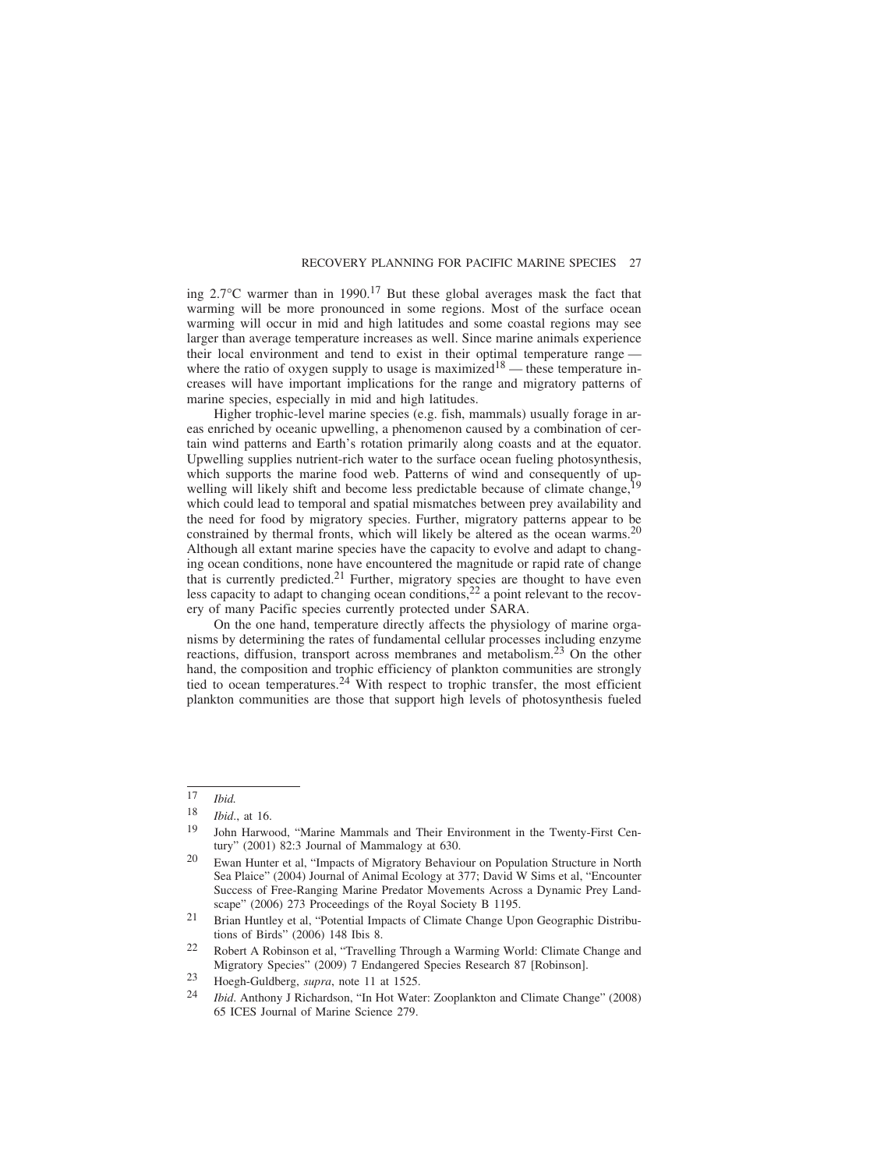ing  $2.7^{\circ}$ C warmer than in 1990.<sup>17</sup> But these global averages mask the fact that warming will be more pronounced in some regions. Most of the surface ocean warming will occur in mid and high latitudes and some coastal regions may see larger than average temperature increases as well. Since marine animals experience their local environment and tend to exist in their optimal temperature range where the ratio of oxygen supply to usage is maximized<sup>18</sup> — these temperature increases will have important implications for the range and migratory patterns of marine species, especially in mid and high latitudes.

Higher trophic-level marine species (e.g. fish, mammals) usually forage in areas enriched by oceanic upwelling, a phenomenon caused by a combination of certain wind patterns and Earth's rotation primarily along coasts and at the equator. Upwelling supplies nutrient-rich water to the surface ocean fueling photosynthesis, which supports the marine food web. Patterns of wind and consequently of upwelling will likely shift and become less predictable because of climate change, which could lead to temporal and spatial mismatches between prey availability and the need for food by migratory species. Further, migratory patterns appear to be constrained by thermal fronts, which will likely be altered as the ocean warms.<sup>20</sup> Although all extant marine species have the capacity to evolve and adapt to changing ocean conditions, none have encountered the magnitude or rapid rate of change that is currently predicted.21 Further, migratory species are thought to have even less capacity to adapt to changing ocean conditions,<sup>22</sup> a point relevant to the recovery of many Pacific species currently protected under SARA.

On the one hand, temperature directly affects the physiology of marine organisms by determining the rates of fundamental cellular processes including enzyme reactions, diffusion, transport across membranes and metabolism.23 On the other hand, the composition and trophic efficiency of plankton communities are strongly tied to ocean temperatures.<sup>24</sup> With respect to trophic transfer, the most efficient plankton communities are those that support high levels of photosynthesis fueled

<sup>17</sup> *Ibid.*

 $\frac{18}{19}$  *Ibid.*, at 16.

<sup>19</sup> John Harwood, "Marine Mammals and Their Environment in the Twenty-First Century" (2001) 82:3 Journal of Mammalogy at 630.

<sup>20</sup> Ewan Hunter et al, "Impacts of Migratory Behaviour on Population Structure in North Sea Plaice" (2004) Journal of Animal Ecology at 377; David W Sims et al, "Encounter Success of Free-Ranging Marine Predator Movements Across a Dynamic Prey Landscape" (2006) 273 Proceedings of the Royal Society B 1195.

<sup>21</sup> Brian Huntley et al, "Potential Impacts of Climate Change Upon Geographic Distributions of Birds" (2006) 148 Ibis 8.

<sup>22</sup> Robert A Robinson et al, "Travelling Through a Warming World: Climate Change and Migratory Species" (2009) 7 Endangered Species Research 87 [Robinson].

<sup>23</sup> Hoegh-Guldberg, *supra*, note 11 at 1525.

<sup>24</sup> *Ibid*. Anthony J Richardson, "In Hot Water: Zooplankton and Climate Change" (2008) 65 ICES Journal of Marine Science 279.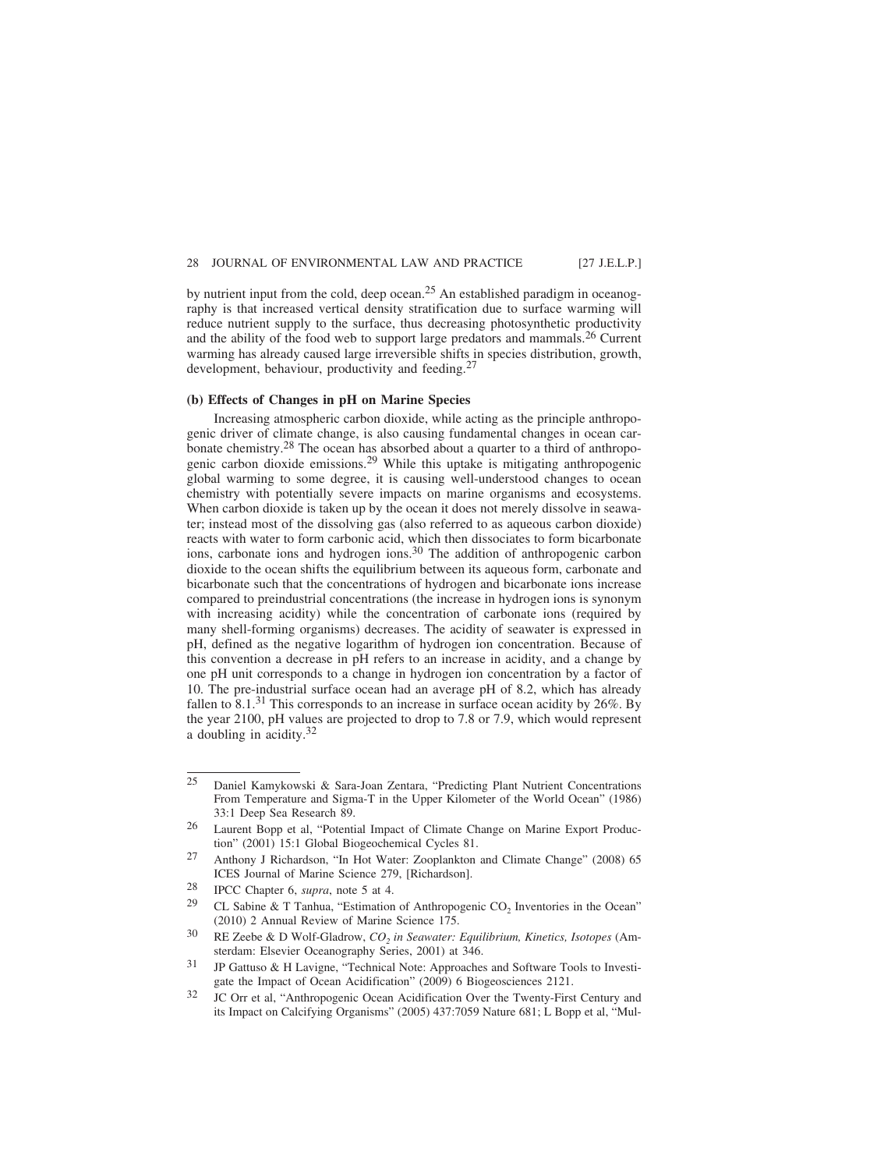by nutrient input from the cold, deep ocean.<sup>25</sup> An established paradigm in oceanography is that increased vertical density stratification due to surface warming will reduce nutrient supply to the surface, thus decreasing photosynthetic productivity and the ability of the food web to support large predators and mammals.<sup>26</sup> Current warming has already caused large irreversible shifts in species distribution, growth, development, behaviour, productivity and feeding.<sup>27</sup>

### **(b) Effects of Changes in pH on Marine Species**

Increasing atmospheric carbon dioxide, while acting as the principle anthropogenic driver of climate change, is also causing fundamental changes in ocean carbonate chemistry.<sup>28</sup> The ocean has absorbed about a quarter to a third of anthropogenic carbon dioxide emissions.29 While this uptake is mitigating anthropogenic global warming to some degree, it is causing well-understood changes to ocean chemistry with potentially severe impacts on marine organisms and ecosystems. When carbon dioxide is taken up by the ocean it does not merely dissolve in seawater; instead most of the dissolving gas (also referred to as aqueous carbon dioxide) reacts with water to form carbonic acid, which then dissociates to form bicarbonate ions, carbonate ions and hydrogen ions.<sup>30</sup> The addition of anthropogenic carbon dioxide to the ocean shifts the equilibrium between its aqueous form, carbonate and bicarbonate such that the concentrations of hydrogen and bicarbonate ions increase compared to preindustrial concentrations (the increase in hydrogen ions is synonym with increasing acidity) while the concentration of carbonate ions (required by many shell-forming organisms) decreases. The acidity of seawater is expressed in pH, defined as the negative logarithm of hydrogen ion concentration. Because of this convention a decrease in pH refers to an increase in acidity, and a change by one pH unit corresponds to a change in hydrogen ion concentration by a factor of 10. The pre-industrial surface ocean had an average pH of 8.2, which has already fallen to  $8.1<sup>31</sup>$  This corresponds to an increase in surface ocean acidity by 26%. By the year 2100, pH values are projected to drop to 7.8 or 7.9, which would represent a doubling in acidity.32

<sup>25</sup> Daniel Kamykowski & Sara-Joan Zentara, "Predicting Plant Nutrient Concentrations From Temperature and Sigma-T in the Upper Kilometer of the World Ocean" (1986) 33:1 Deep Sea Research 89.

<sup>26</sup> Laurent Bopp et al, "Potential Impact of Climate Change on Marine Export Production" (2001) 15:1 Global Biogeochemical Cycles 81.

<sup>27</sup> Anthony J Richardson, "In Hot Water: Zooplankton and Climate Change" (2008) 65 ICES Journal of Marine Science 279, [Richardson].

<sup>28</sup> IPCC Chapter 6, *supra*, note 5 at 4.

<sup>&</sup>lt;sup>29</sup> CL Sabine & T Tanhua, "Estimation of Anthropogenic CO<sub>2</sub> Inventories in the Ocean" (2010) 2 Annual Review of Marine Science 175.

<sup>&</sup>lt;sup>30</sup> RE Zeebe & D Wolf-Gladrow,  $CO_2$  in Seawater: Equilibrium, Kinetics, Isotopes (Amsterdam: Elsevier Oceanography Series, 2001) at 346.

<sup>31</sup> JP Gattuso & H Lavigne, "Technical Note: Approaches and Software Tools to Investigate the Impact of Ocean Acidification" (2009) 6 Biogeosciences 2121.

<sup>32</sup> JC Orr et al, "Anthropogenic Ocean Acidification Over the Twenty-First Century and its Impact on Calcifying Organisms" (2005) 437:7059 Nature 681; L Bopp et al, "Mul-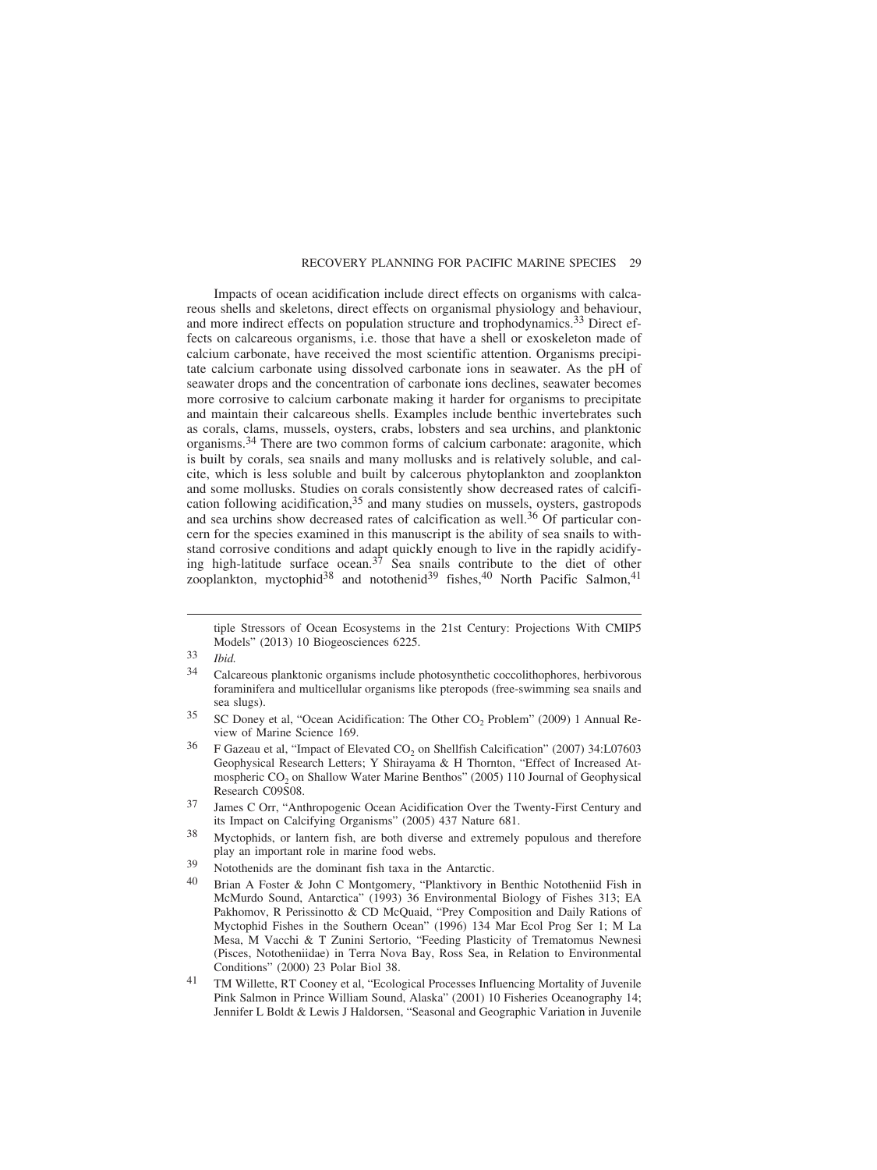Impacts of ocean acidification include direct effects on organisms with calcareous shells and skeletons, direct effects on organismal physiology and behaviour, and more indirect effects on population structure and trophodynamics.<sup>33</sup> Direct effects on calcareous organisms, i.e. those that have a shell or exoskeleton made of calcium carbonate, have received the most scientific attention. Organisms precipitate calcium carbonate using dissolved carbonate ions in seawater. As the pH of seawater drops and the concentration of carbonate ions declines, seawater becomes more corrosive to calcium carbonate making it harder for organisms to precipitate and maintain their calcareous shells. Examples include benthic invertebrates such as corals, clams, mussels, oysters, crabs, lobsters and sea urchins, and planktonic organisms.34 There are two common forms of calcium carbonate: aragonite, which is built by corals, sea snails and many mollusks and is relatively soluble, and calcite, which is less soluble and built by calcerous phytoplankton and zooplankton and some mollusks. Studies on corals consistently show decreased rates of calcification following acidification,<sup>35</sup> and many studies on mussels, oysters, gastropods and sea urchins show decreased rates of calcification as well.<sup>36</sup> Of particular concern for the species examined in this manuscript is the ability of sea snails to withstand corrosive conditions and adapt quickly enough to live in the rapidly acidifying high-latitude surface ocean.<sup>37</sup> Sea snails contribute to the diet of other zooplankton, myctophid<sup>38</sup> and notothenid<sup>39</sup> fishes,<sup>40</sup> North Pacific Salmon,<sup>41</sup>

tiple Stressors of Ocean Ecosystems in the 21st Century: Projections With CMIP5 Models" (2013) 10 Biogeosciences 6225.

<sup>33</sup> *Ibid.*

<sup>34</sup> Calcareous planktonic organisms include photosynthetic coccolithophores, herbivorous foraminifera and multicellular organisms like pteropods (free-swimming sea snails and sea slugs).

 $35$  SC Doney et al, "Ocean Acidification: The Other CO<sub>2</sub> Problem" (2009) 1 Annual Review of Marine Science 169.

 $36$  F Gazeau et al, "Impact of Elevated CO<sub>2</sub> on Shellfish Calcification" (2007) 34:L07603 Geophysical Research Letters; Y Shirayama & H Thornton, "Effect of Increased Atmospheric CO<sub>2</sub> on Shallow Water Marine Benthos" (2005) 110 Journal of Geophysical Research C09S08.

<sup>37</sup> James C Orr, "Anthropogenic Ocean Acidification Over the Twenty-First Century and its Impact on Calcifying Organisms" (2005) 437 Nature 681.

<sup>38</sup> Myctophids, or lantern fish, are both diverse and extremely populous and therefore play an important role in marine food webs.

<sup>39</sup> Notothenids are the dominant fish taxa in the Antarctic.

 $40$  Brian A Foster & John C Montgomery, "Planktivory in Benthic Nototheniid Fish in McMurdo Sound, Antarctica" (1993) 36 Environmental Biology of Fishes 313; EA Pakhomov, R Perissinotto & CD McQuaid, "Prey Composition and Daily Rations of Myctophid Fishes in the Southern Ocean" (1996) 134 Mar Ecol Prog Ser 1; M La Mesa, M Vacchi & T Zunini Sertorio, "Feeding Plasticity of Trematomus Newnesi (Pisces, Nototheniidae) in Terra Nova Bay, Ross Sea, in Relation to Environmental Conditions" (2000) 23 Polar Biol 38.

<sup>41</sup> TM Willette, RT Cooney et al, "Ecological Processes Influencing Mortality of Juvenile Pink Salmon in Prince William Sound, Alaska" (2001) 10 Fisheries Oceanography 14; Jennifer L Boldt & Lewis J Haldorsen, "Seasonal and Geographic Variation in Juvenile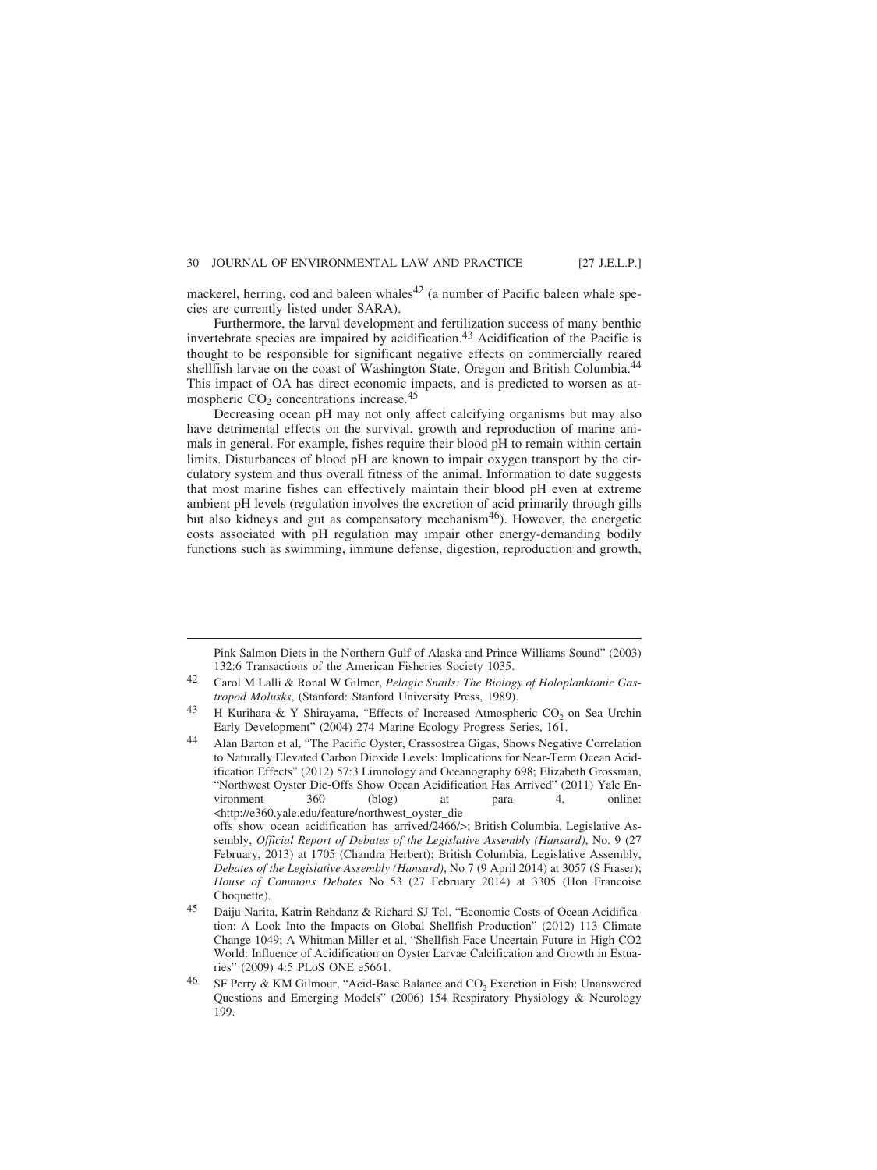mackerel, herring, cod and baleen whales<sup>42</sup> (a number of Pacific baleen whale species are currently listed under SARA).

Furthermore, the larval development and fertilization success of many benthic invertebrate species are impaired by acidification.<sup>43</sup> Acidification of the Pacific is thought to be responsible for significant negative effects on commercially reared shellfish larvae on the coast of Washington State, Oregon and British Columbia.<sup>44</sup> This impact of OA has direct economic impacts, and is predicted to worsen as atmospheric  $CO<sub>2</sub>$  concentrations increase.<sup>45</sup>

Decreasing ocean pH may not only affect calcifying organisms but may also have detrimental effects on the survival, growth and reproduction of marine animals in general. For example, fishes require their blood pH to remain within certain limits. Disturbances of blood pH are known to impair oxygen transport by the circulatory system and thus overall fitness of the animal. Information to date suggests that most marine fishes can effectively maintain their blood pH even at extreme ambient pH levels (regulation involves the excretion of acid primarily through gills but also kidneys and gut as compensatory mechanism<sup>46</sup>). However, the energetic costs associated with pH regulation may impair other energy-demanding bodily functions such as swimming, immune defense, digestion, reproduction and growth,

offs\_show\_ocean\_acidification\_has\_arrived/2466/>; British Columbia, Legislative Assembly, *Official Report of Debates of the Legislative Assembly (Hansard)*, No. 9 (27 February, 2013) at 1705 (Chandra Herbert); British Columbia, Legislative Assembly, *Debates of the Legislative Assembly (Hansard)*, No 7 (9 April 2014) at 3057 (S Fraser); *House of Commons Debates* No 53 (27 February 2014) at 3305 (Hon Francoise Choquette).

- 45 Daiju Narita, Katrin Rehdanz & Richard SJ Tol, "Economic Costs of Ocean Acidification: A Look Into the Impacts on Global Shellfish Production" (2012) 113 Climate Change 1049; A Whitman Miller et al, "Shellfish Face Uncertain Future in High CO2 World: Influence of Acidification on Oyster Larvae Calcification and Growth in Estuaries" (2009) 4:5 PLoS ONE e5661.
- <sup>46</sup> SF Perry & KM Gilmour, "Acid-Base Balance and  $CO<sub>2</sub>$  Excretion in Fish: Unanswered Questions and Emerging Models" (2006) 154 Respiratory Physiology & Neurology 199.

Pink Salmon Diets in the Northern Gulf of Alaska and Prince Williams Sound" (2003) 132:6 Transactions of the American Fisheries Society 1035.

<sup>42</sup> Carol M Lalli & Ronal W Gilmer, *Pelagic Snails: The Biology of Holoplanktonic Gastropod Molusks*, (Stanford: Stanford University Press, 1989).

H Kurihara & Y Shirayama, "Effects of Increased Atmospheric CO<sub>2</sub> on Sea Urchin Early Development" (2004) 274 Marine Ecology Progress Series, 161.

<sup>44</sup> Alan Barton et al, "The Pacific Oyster, Crassostrea Gigas, Shows Negative Correlation to Naturally Elevated Carbon Dioxide Levels: Implications for Near-Term Ocean Acidification Effects" (2012) 57:3 Limnology and Oceanography 698; Elizabeth Grossman, "Northwest Oyster Die-Offs Show Ocean Acidification Has Arrived" (2011) Yale Environment 360 (blog) at para 4, online: <http://e360.yale.edu/feature/northwest\_oyster\_die-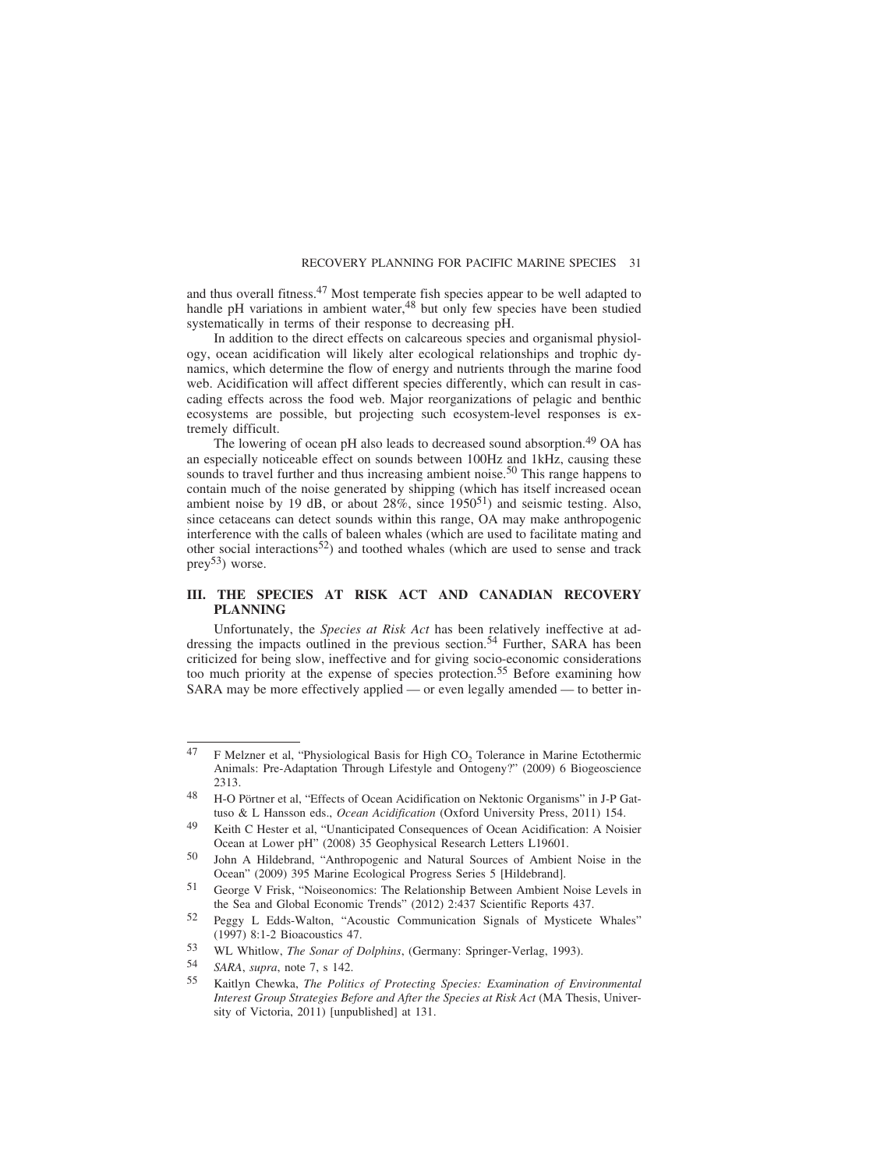and thus overall fitness.<sup>47</sup> Most temperate fish species appear to be well adapted to handle pH variations in ambient water,  $48$  but only few species have been studied systematically in terms of their response to decreasing pH.

In addition to the direct effects on calcareous species and organismal physiology, ocean acidification will likely alter ecological relationships and trophic dynamics, which determine the flow of energy and nutrients through the marine food web. Acidification will affect different species differently, which can result in cascading effects across the food web. Major reorganizations of pelagic and benthic ecosystems are possible, but projecting such ecosystem-level responses is extremely difficult.

The lowering of ocean pH also leads to decreased sound absorption.<sup>49</sup> OA has an especially noticeable effect on sounds between 100Hz and 1kHz, causing these sounds to travel further and thus increasing ambient noise.<sup>50</sup> This range happens to contain much of the noise generated by shipping (which has itself increased ocean ambient noise by 19 dB, or about 28%, since 195051) and seismic testing. Also, since cetaceans can detect sounds within this range, OA may make anthropogenic interference with the calls of baleen whales (which are used to facilitate mating and other social interactions<sup>52</sup>) and toothed whales (which are used to sense and track prey<sup>53</sup>) worse.

## **III. THE SPECIES AT RISK ACT AND CANADIAN RECOVERY PLANNING**

Unfortunately, the *Species at Risk Act* has been relatively ineffective at addressing the impacts outlined in the previous section.<sup>54</sup> Further, SARA has been criticized for being slow, ineffective and for giving socio-economic considerations too much priority at the expense of species protection.<sup>55</sup> Before examining how SARA may be more effectively applied — or even legally amended — to better in-

 $47$  F Melzner et al, "Physiological Basis for High CO<sub>2</sub> Tolerance in Marine Ectothermic Animals: Pre-Adaptation Through Lifestyle and Ontogeny?" (2009) 6 Biogeoscience 2313.

<sup>&</sup>lt;sup>48</sup> H-O Pörtner et al, "Effects of Ocean Acidification on Nektonic Organisms" in J-P Gattuso & L Hansson eds., *Ocean Acidification* (Oxford University Press, 2011) 154.

<sup>49</sup> Keith C Hester et al, "Unanticipated Consequences of Ocean Acidification: A Noisier Ocean at Lower pH" (2008) 35 Geophysical Research Letters L19601.

<sup>50</sup> John A Hildebrand, "Anthropogenic and Natural Sources of Ambient Noise in the Ocean" (2009) 395 Marine Ecological Progress Series 5 [Hildebrand].

<sup>51</sup> George V Frisk, "Noiseonomics: The Relationship Between Ambient Noise Levels in the Sea and Global Economic Trends" (2012) 2:437 Scientific Reports 437.

<sup>52</sup> Peggy L Edds-Walton, "Acoustic Communication Signals of Mysticete Whales" (1997) 8:1-2 Bioacoustics 47.

<sup>53</sup> WL Whitlow, *The Sonar of Dolphins*, (Germany: Springer-Verlag, 1993).

<sup>54</sup> *SARA*, *supra*, note 7, s 142.

<sup>55</sup> Kaitlyn Chewka, *The Politics of Protecting Species: Examination of Environmental Interest Group Strategies Before and After the Species at Risk Act* (MA Thesis, University of Victoria, 2011) [unpublished] at 131.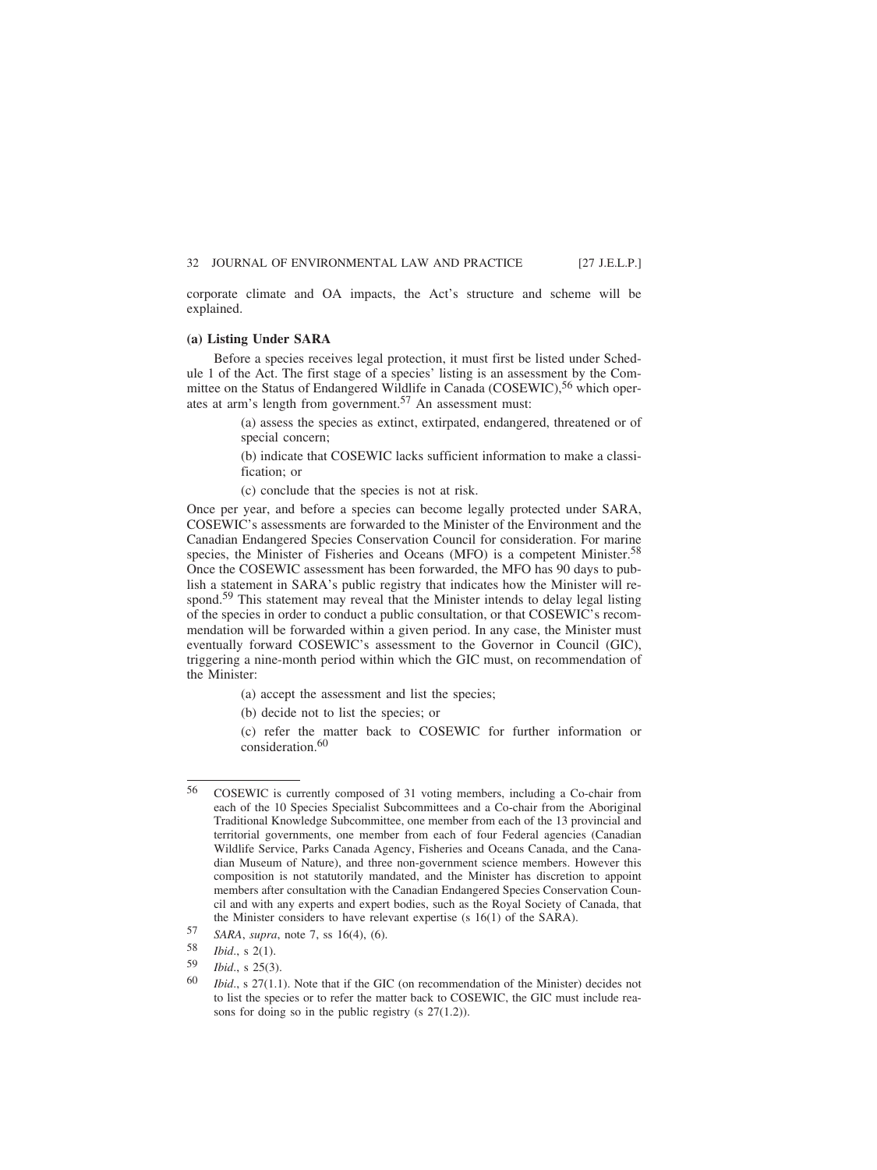corporate climate and OA impacts, the Act's structure and scheme will be explained.

## **(a) Listing Under SARA**

Before a species receives legal protection, it must first be listed under Schedule 1 of the Act. The first stage of a species' listing is an assessment by the Committee on the Status of Endangered Wildlife in Canada (COSEWIC),<sup>56</sup> which operates at arm's length from government.57 An assessment must:

> (a) assess the species as extinct, extirpated, endangered, threatened or of special concern;

> (b) indicate that COSEWIC lacks sufficient information to make a classification; or

(c) conclude that the species is not at risk.

Once per year, and before a species can become legally protected under SARA, COSEWIC's assessments are forwarded to the Minister of the Environment and the Canadian Endangered Species Conservation Council for consideration. For marine species, the Minister of Fisheries and Oceans (MFO) is a competent Minister.<sup>58</sup> Once the COSEWIC assessment has been forwarded, the MFO has 90 days to publish a statement in SARA's public registry that indicates how the Minister will respond.59 This statement may reveal that the Minister intends to delay legal listing of the species in order to conduct a public consultation, or that COSEWIC's recommendation will be forwarded within a given period. In any case, the Minister must eventually forward COSEWIC's assessment to the Governor in Council (GIC), triggering a nine-month period within which the GIC must, on recommendation of the Minister:

- (a) accept the assessment and list the species;
- (b) decide not to list the species; or

(c) refer the matter back to COSEWIC for further information or consideration.<sup>60</sup>

<sup>56</sup> COSEWIC is currently composed of 31 voting members, including a Co-chair from each of the 10 Species Specialist Subcommittees and a Co-chair from the Aboriginal Traditional Knowledge Subcommittee, one member from each of the 13 provincial and territorial governments, one member from each of four Federal agencies (Canadian Wildlife Service, Parks Canada Agency, Fisheries and Oceans Canada, and the Canadian Museum of Nature), and three non-government science members. However this composition is not statutorily mandated, and the Minister has discretion to appoint members after consultation with the Canadian Endangered Species Conservation Council and with any experts and expert bodies, such as the Royal Society of Canada, that the Minister considers to have relevant expertise (s 16(1) of the SARA).

<sup>57</sup> *SARA*, *supra*, note 7, ss 16(4), (6).

<sup>58</sup> *Ibid*., s 2(1).

*Ibid.*, s 25(3).

<sup>60</sup> *Ibid*., s 27(1.1). Note that if the GIC (on recommendation of the Minister) decides not to list the species or to refer the matter back to COSEWIC, the GIC must include reasons for doing so in the public registry (s 27(1.2)).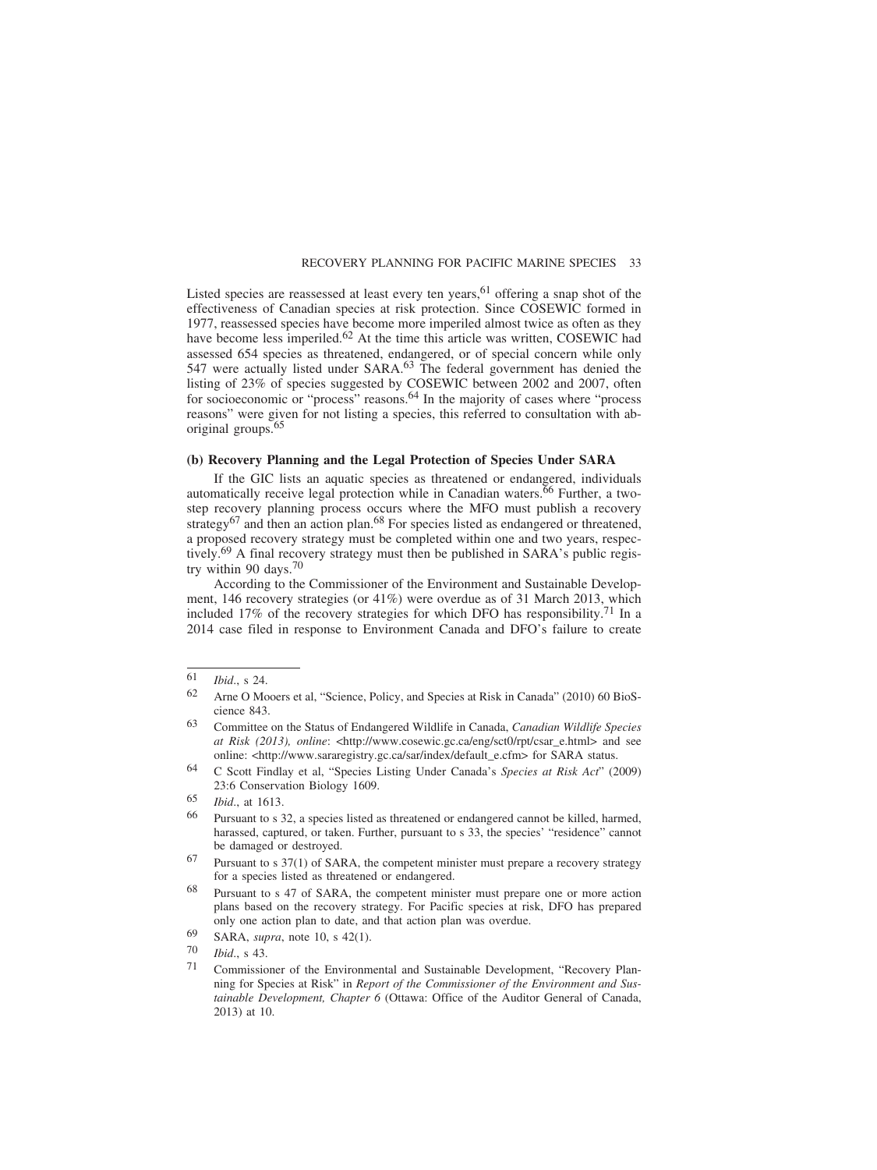Listed species are reassessed at least every ten years,  $61$  offering a snap shot of the effectiveness of Canadian species at risk protection. Since COSEWIC formed in 1977, reassessed species have become more imperiled almost twice as often as they have become less imperiled.<sup>62</sup> At the time this article was written, COSEWIC had assessed 654 species as threatened, endangered, or of special concern while only 547 were actually listed under SARA.<sup>63</sup> The federal government has denied the listing of 23% of species suggested by COSEWIC between 2002 and 2007, often for socioeconomic or "process" reasons.<sup>64</sup> In the majority of cases where "process reasons" were given for not listing a species, this referred to consultation with aboriginal groups.65

## **(b) Recovery Planning and the Legal Protection of Species Under SARA**

If the GIC lists an aquatic species as threatened or endangered, individuals automatically receive legal protection while in Canadian waters.<sup>66</sup> Further, a twostep recovery planning process occurs where the MFO must publish a recovery strategy<sup>67</sup> and then an action plan.<sup>68</sup> For species listed as endangered or threatened, a proposed recovery strategy must be completed within one and two years, respectively.69 A final recovery strategy must then be published in SARA's public registry within 90 days.70

According to the Commissioner of the Environment and Sustainable Development, 146 recovery strategies (or 41%) were overdue as of 31 March 2013, which included 17% of the recovery strategies for which DFO has responsibility.<sup>71</sup> In a 2014 case filed in response to Environment Canada and DFO's failure to create

- 69 SARA, *supra*, note 10, s 42(1).
- 70 *Ibid*., s 43.

<sup>61</sup> *Ibid*., s 24.

<sup>62</sup> Arne O Mooers et al, "Science, Policy, and Species at Risk in Canada" (2010) 60 BioScience 843.

<sup>63</sup> Committee on the Status of Endangered Wildlife in Canada, *Canadian Wildlife Species at Risk (2013), online*: <http://www.cosewic.gc.ca/eng/sct0/rpt/csar\_e.html> and see online: <http://www.sararegistry.gc.ca/sar/index/default\_e.cfm> for SARA status.

<sup>64</sup> C Scott Findlay et al, "Species Listing Under Canada's *Species at Risk Act*" (2009) 23:6 Conservation Biology 1609.

<sup>65</sup> *Ibid*., at 1613.

<sup>66</sup> Pursuant to s 32, a species listed as threatened or endangered cannot be killed, harmed, harassed, captured, or taken. Further, pursuant to s 33, the species' "residence" cannot be damaged or destroyed.

 $67$  Pursuant to s 37(1) of SARA, the competent minister must prepare a recovery strategy for a species listed as threatened or endangered.

<sup>68</sup> Pursuant to s 47 of SARA, the competent minister must prepare one or more action plans based on the recovery strategy. For Pacific species at risk, DFO has prepared only one action plan to date, and that action plan was overdue.

<sup>71</sup> Commissioner of the Environmental and Sustainable Development, "Recovery Planning for Species at Risk" in *Report of the Commissioner of the Environment and Sustainable Development, Chapter 6* (Ottawa: Office of the Auditor General of Canada, 2013) at 10.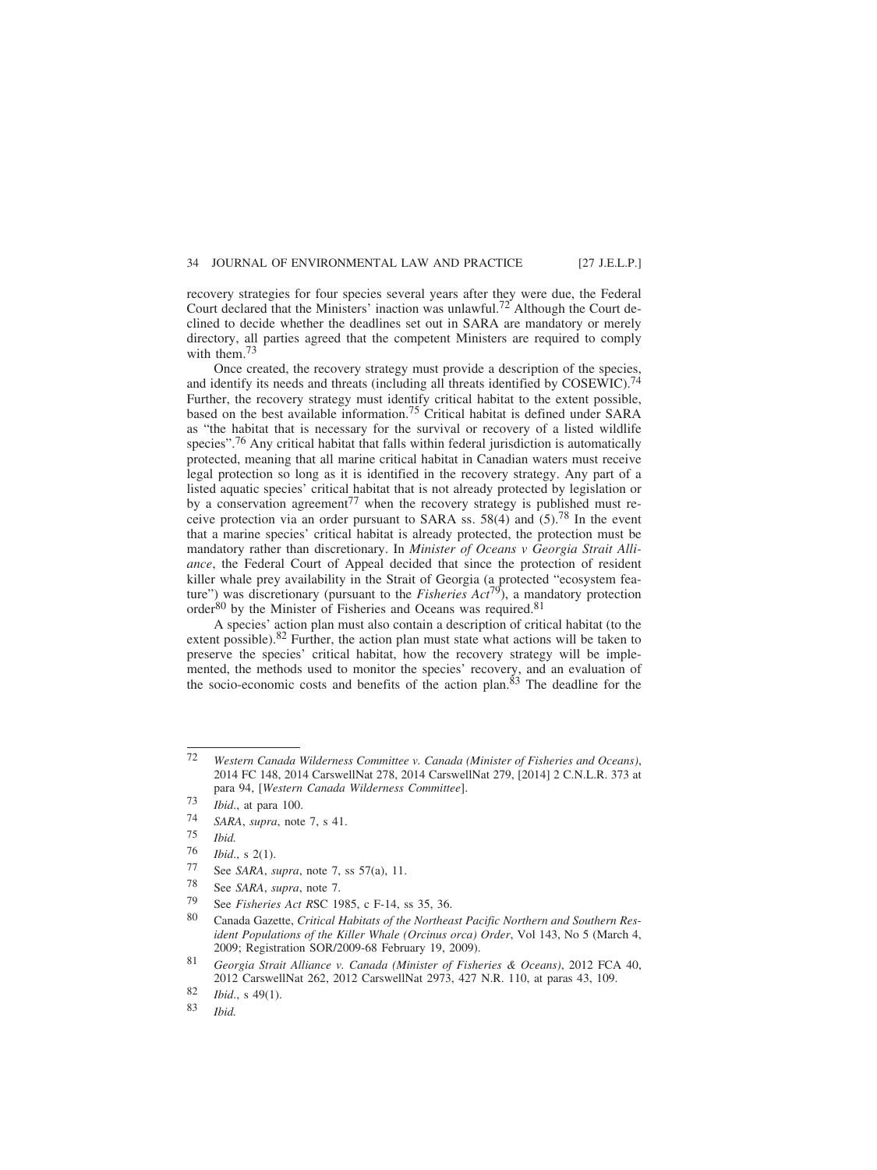recovery strategies for four species several years after they were due, the Federal Court declared that the Ministers' inaction was unlawful.<sup>72</sup> Although the Court declined to decide whether the deadlines set out in SARA are mandatory or merely directory, all parties agreed that the competent Ministers are required to comply with them. $7<sup>3</sup>$ 

Once created, the recovery strategy must provide a description of the species, and identify its needs and threats (including all threats identified by COSEWIC).<sup>74</sup> Further, the recovery strategy must identify critical habitat to the extent possible, based on the best available information.<sup>75</sup> Critical habitat is defined under SARA as "the habitat that is necessary for the survival or recovery of a listed wildlife species".<sup>76</sup> Any critical habitat that falls within federal jurisdiction is automatically protected, meaning that all marine critical habitat in Canadian waters must receive legal protection so long as it is identified in the recovery strategy. Any part of a listed aquatic species' critical habitat that is not already protected by legislation or by a conservation agreement<sup>77</sup> when the recovery strategy is published must receive protection via an order pursuant to SARA ss.  $58(4)$  and  $(5)$ .<sup>78</sup> In the event that a marine species' critical habitat is already protected, the protection must be mandatory rather than discretionary. In *Minister of Oceans v Georgia Strait Alliance*, the Federal Court of Appeal decided that since the protection of resident killer whale prey availability in the Strait of Georgia (a protected "ecosystem feature") was discretionary (pursuant to the *Fisheries Act*79), a mandatory protection order<sup>80</sup> by the Minister of Fisheries and Oceans was required.<sup>81</sup>

A species' action plan must also contain a description of critical habitat (to the extent possible).<sup>82</sup> Further, the action plan must state what actions will be taken to preserve the species' critical habitat, how the recovery strategy will be implemented, the methods used to monitor the species' recovery, and an evaluation of the socio-economic costs and benefits of the action plan.<sup>83</sup> The deadline for the

- See *SARA*, *supra*, note 7.
- 79 See *Fisheries Act R*SC 1985, c F-14, ss 35, 36.

<sup>72</sup> *Western Canada Wilderness Committee v. Canada (Minister of Fisheries and Oceans)*, 2014 FC 148, 2014 CarswellNat 278, 2014 CarswellNat 279, [2014] 2 C.N.L.R. 373 at para 94, [*Western Canada Wilderness Committee*].

<sup>73</sup> *Ibid*., at para 100.

<sup>74</sup> *SARA*, *supra*, note 7, s 41.

<sup>75</sup> *Ibid.*

 $\frac{76}{77}$  *Ibid.*, s 2(1).

<sup>77</sup> See *SARA*, *supra*, note 7, ss 57(a), 11.

<sup>80</sup> Canada Gazette, *Critical Habitats of the Northeast Pacific Northern and Southern Resident Populations of the Killer Whale (Orcinus orca) Order*, Vol 143, No 5 (March 4, 2009; Registration SOR/2009-68 February 19, 2009).

<sup>81</sup> *Georgia Strait Alliance v. Canada (Minister of Fisheries & Oceans)*, 2012 FCA 40, 2012 CarswellNat 262, 2012 CarswellNat 2973, 427 N.R. 110, at paras 43, 109.

<sup>82</sup> *Ibid*., s 49(1).

<sup>83</sup> *Ibid.*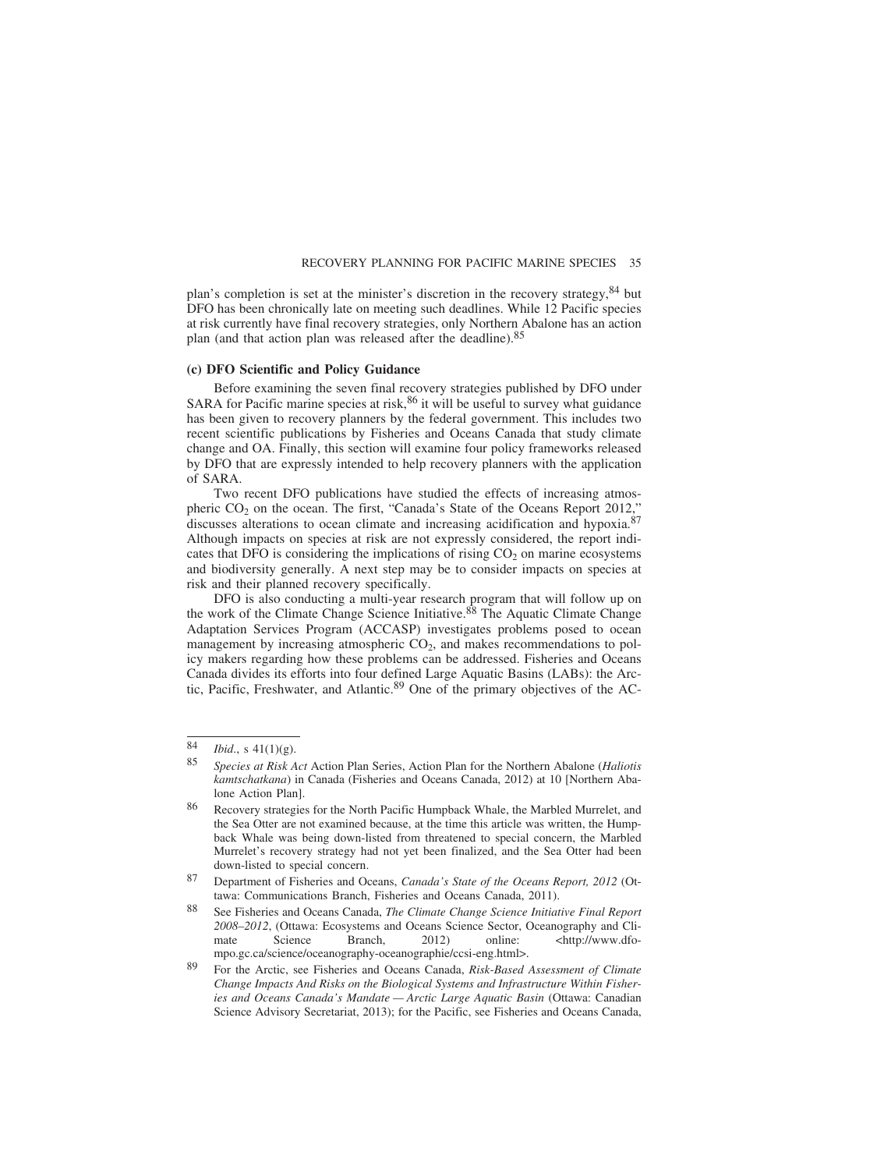plan's completion is set at the minister's discretion in the recovery strategy,  $84$  but DFO has been chronically late on meeting such deadlines. While 12 Pacific species at risk currently have final recovery strategies, only Northern Abalone has an action plan (and that action plan was released after the deadline).<sup>85</sup>

#### **(c) DFO Scientific and Policy Guidance**

Before examining the seven final recovery strategies published by DFO under SARA for Pacific marine species at risk,  $86$  it will be useful to survey what guidance has been given to recovery planners by the federal government. This includes two recent scientific publications by Fisheries and Oceans Canada that study climate change and OA. Finally, this section will examine four policy frameworks released by DFO that are expressly intended to help recovery planners with the application of SARA.

Two recent DFO publications have studied the effects of increasing atmospheric  $CO<sub>2</sub>$  on the ocean. The first, "Canada's State of the Oceans Report 2012," discusses alterations to ocean climate and increasing acidification and hypoxia.<sup>87</sup> Although impacts on species at risk are not expressly considered, the report indicates that DFO is considering the implications of rising  $CO<sub>2</sub>$  on marine ecosystems and biodiversity generally. A next step may be to consider impacts on species at risk and their planned recovery specifically.

DFO is also conducting a multi-year research program that will follow up on the work of the Climate Change Science Initiative.<sup>88</sup> The Aquatic Climate Change Adaptation Services Program (ACCASP) investigates problems posed to ocean management by increasing atmospheric  $CO<sub>2</sub>$ , and makes recommendations to policy makers regarding how these problems can be addressed. Fisheries and Oceans Canada divides its efforts into four defined Large Aquatic Basins (LABs): the Arctic, Pacific, Freshwater, and Atlantic.<sup>89</sup> One of the primary objectives of the AC-

<sup>84</sup> *Ibid.*, s 41(1)(g).<br>85 Species at Bight

<sup>85</sup> *Species at Risk Act* Action Plan Series, Action Plan for the Northern Abalone (*Haliotis kamtschatkana*) in Canada (Fisheries and Oceans Canada, 2012) at 10 [Northern Abalone Action Plan].

Recovery strategies for the North Pacific Humpback Whale, the Marbled Murrelet, and the Sea Otter are not examined because, at the time this article was written, the Humpback Whale was being down-listed from threatened to special concern, the Marbled Murrelet's recovery strategy had not yet been finalized, and the Sea Otter had been down-listed to special concern.

<sup>87</sup> Department of Fisheries and Oceans, *Canada's State of the Oceans Report, 2012* (Ottawa: Communications Branch, Fisheries and Oceans Canada, 2011).

<sup>88</sup> See Fisheries and Oceans Canada, *The Climate Change Science Initiative Final Report 2008–2012*, (Ottawa: Ecosystems and Oceans Science Sector, Oceanography and Climate Science Branch, 2012) online: <http://www.dfompo.gc.ca/science/oceanography-oceanographie/ccsi-eng.html>.

<sup>89</sup> For the Arctic, see Fisheries and Oceans Canada, *Risk-Based Assessment of Climate Change Impacts And Risks on the Biological Systems and Infrastructure Within Fisheries and Oceans Canada's Mandate — Arctic Large Aquatic Basin* (Ottawa: Canadian Science Advisory Secretariat, 2013); for the Pacific, see Fisheries and Oceans Canada,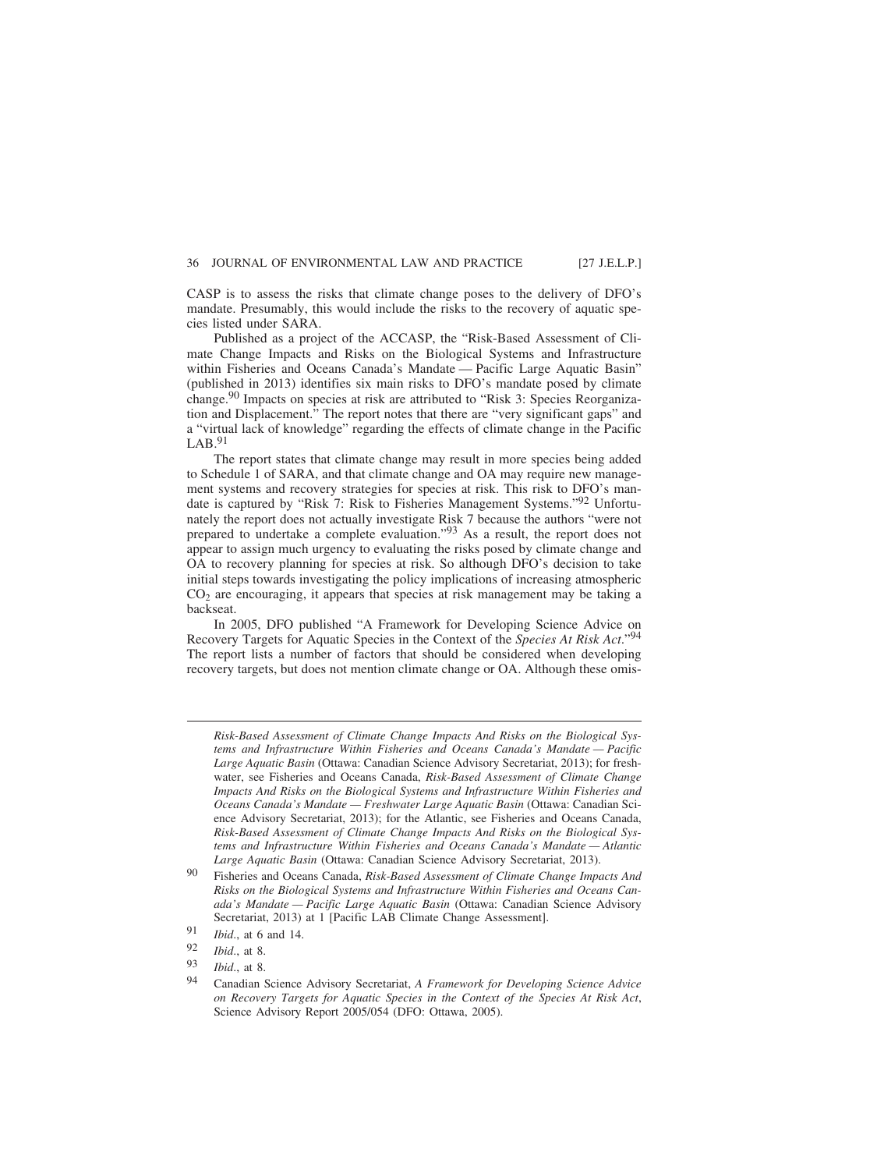CASP is to assess the risks that climate change poses to the delivery of DFO's mandate. Presumably, this would include the risks to the recovery of aquatic species listed under SARA.

Published as a project of the ACCASP, the "Risk-Based Assessment of Climate Change Impacts and Risks on the Biological Systems and Infrastructure within Fisheries and Oceans Canada's Mandate — Pacific Large Aquatic Basin" (published in 2013) identifies six main risks to DFO's mandate posed by climate change.<sup>90</sup> Impacts on species at risk are attributed to "Risk 3: Species Reorganization and Displacement." The report notes that there are "very significant gaps" and a "virtual lack of knowledge" regarding the effects of climate change in the Pacific  $LAB.^{91}$ 

The report states that climate change may result in more species being added to Schedule 1 of SARA, and that climate change and OA may require new management systems and recovery strategies for species at risk. This risk to DFO's mandate is captured by "Risk 7: Risk to Fisheries Management Systems."92 Unfortunately the report does not actually investigate Risk 7 because the authors "were not prepared to undertake a complete evaluation."93 As a result, the report does not appear to assign much urgency to evaluating the risks posed by climate change and OA to recovery planning for species at risk. So although DFO's decision to take initial steps towards investigating the policy implications of increasing atmospheric  $CO<sub>2</sub>$  are encouraging, it appears that species at risk management may be taking a backseat.

In 2005, DFO published "A Framework for Developing Science Advice on Recovery Targets for Aquatic Species in the Context of the *Species At Risk Act*."94 The report lists a number of factors that should be considered when developing recovery targets, but does not mention climate change or OA. Although these omis-

*Risk-Based Assessment of Climate Change Impacts And Risks on the Biological Systems and Infrastructure Within Fisheries and Oceans Canada's Mandate — Pacific Large Aquatic Basin* (Ottawa: Canadian Science Advisory Secretariat, 2013); for freshwater, see Fisheries and Oceans Canada, *Risk-Based Assessment of Climate Change Impacts And Risks on the Biological Systems and Infrastructure Within Fisheries and Oceans Canada's Mandate — Freshwater Large Aquatic Basin* (Ottawa: Canadian Science Advisory Secretariat, 2013); for the Atlantic, see Fisheries and Oceans Canada, *Risk-Based Assessment of Climate Change Impacts And Risks on the Biological Systems and Infrastructure Within Fisheries and Oceans Canada's Mandate — Atlantic Large Aquatic Basin* (Ottawa: Canadian Science Advisory Secretariat, 2013).

<sup>90</sup> Fisheries and Oceans Canada, *Risk-Based Assessment of Climate Change Impacts And Risks on the Biological Systems and Infrastructure Within Fisheries and Oceans Canada's Mandate — Pacific Large Aquatic Basin* (Ottawa: Canadian Science Advisory Secretariat, 2013) at 1 [Pacific LAB Climate Change Assessment].

<sup>91</sup> *Ibid*., at 6 and 14.

<sup>92</sup> *Ibid*., at 8.

*Ibid.*, at 8.

<sup>94</sup> Canadian Science Advisory Secretariat, *A Framework for Developing Science Advice on Recovery Targets for Aquatic Species in the Context of the Species At Risk Act*, Science Advisory Report 2005/054 (DFO: Ottawa, 2005).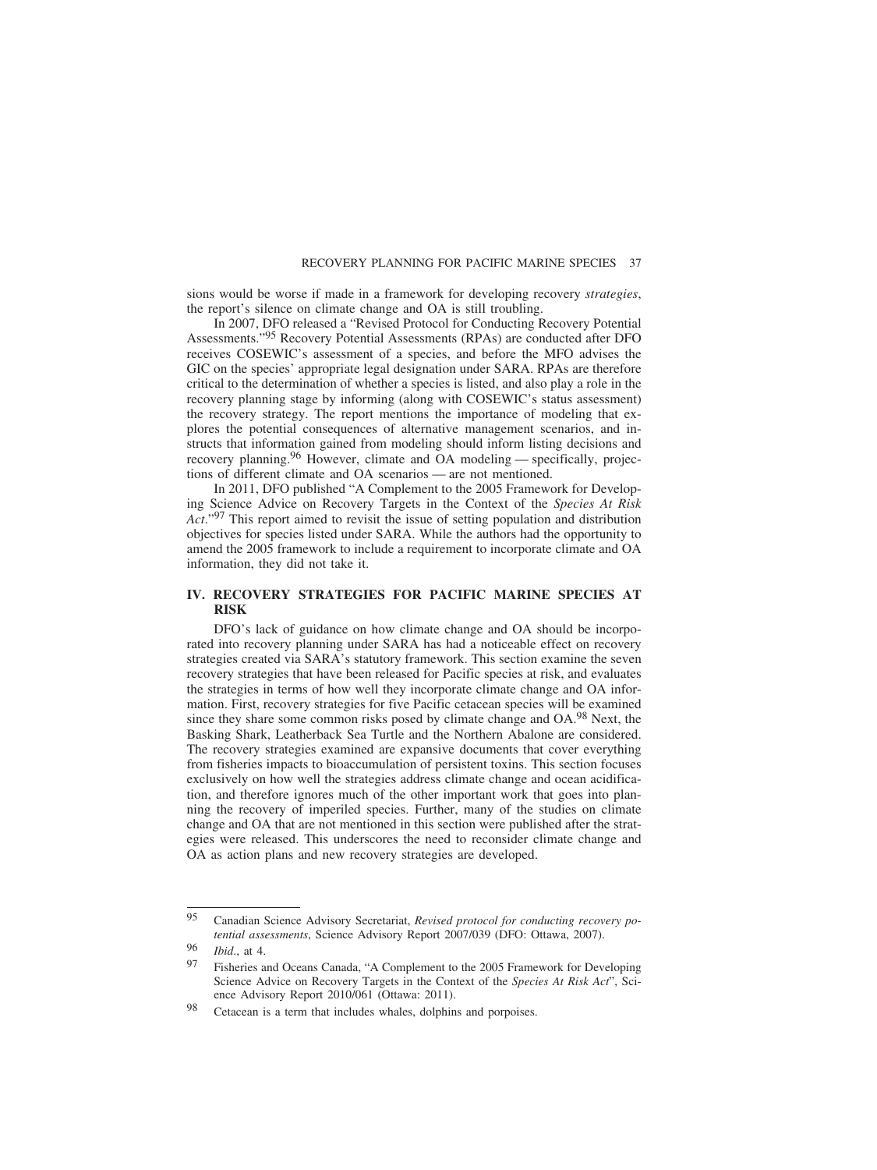sions would be worse if made in a framework for developing recovery *strategies*, the report's silence on climate change and OA is still troubling.

In 2007, DFO released a "Revised Protocol for Conducting Recovery Potential Assessments."95 Recovery Potential Assessments (RPAs) are conducted after DFO receives COSEWIC's assessment of a species, and before the MFO advises the GIC on the species' appropriate legal designation under SARA. RPAs are therefore critical to the determination of whether a species is listed, and also play a role in the recovery planning stage by informing (along with COSEWIC's status assessment) the recovery strategy. The report mentions the importance of modeling that explores the potential consequences of alternative management scenarios, and instructs that information gained from modeling should inform listing decisions and recovery planning.<sup>96</sup> However, climate and OA modeling — specifically, projections of different climate and OA scenarios — are not mentioned.

In 2011, DFO published "A Complement to the 2005 Framework for Developing Science Advice on Recovery Targets in the Context of the *Species At Risk Act*."<sup>97</sup> This report aimed to revisit the issue of setting population and distribution objectives for species listed under SARA. While the authors had the opportunity to amend the 2005 framework to include a requirement to incorporate climate and OA information, they did not take it.

## **IV. RECOVERY STRATEGIES FOR PACIFIC MARINE SPECIES AT RISK**

DFO's lack of guidance on how climate change and OA should be incorporated into recovery planning under SARA has had a noticeable effect on recovery strategies created via SARA's statutory framework. This section examine the seven recovery strategies that have been released for Pacific species at risk, and evaluates the strategies in terms of how well they incorporate climate change and OA information. First, recovery strategies for five Pacific cetacean species will be examined since they share some common risks posed by climate change and OA.<sup>98</sup> Next, the Basking Shark, Leatherback Sea Turtle and the Northern Abalone are considered. The recovery strategies examined are expansive documents that cover everything from fisheries impacts to bioaccumulation of persistent toxins. This section focuses exclusively on how well the strategies address climate change and ocean acidification, and therefore ignores much of the other important work that goes into planning the recovery of imperiled species. Further, many of the studies on climate change and OA that are not mentioned in this section were published after the strategies were released. This underscores the need to reconsider climate change and OA as action plans and new recovery strategies are developed.

<sup>95</sup> Canadian Science Advisory Secretariat, *Revised protocol for conducting recovery potential assessments*, Science Advisory Report 2007/039 (DFO: Ottawa, 2007).

<sup>96</sup> *Ibid*., at 4.

Fisheries and Oceans Canada, "A Complement to the 2005 Framework for Developing Science Advice on Recovery Targets in the Context of the *Species At Risk Act*", Science Advisory Report 2010/061 (Ottawa: 2011).

<sup>98</sup> Cetacean is a term that includes whales, dolphins and porpoises.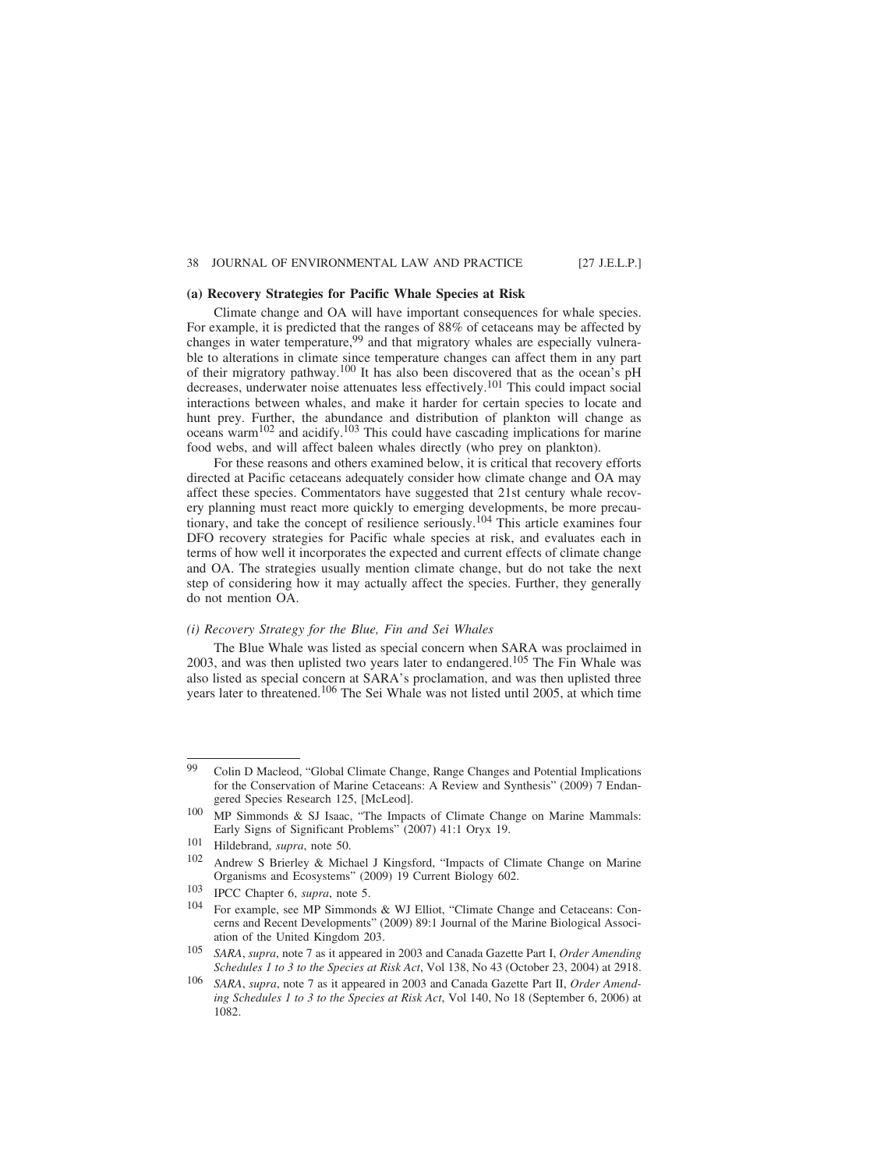### **(a) Recovery Strategies for Pacific Whale Species at Risk**

Climate change and OA will have important consequences for whale species. For example, it is predicted that the ranges of 88% of cetaceans may be affected by changes in water temperature,<sup>99</sup> and that migratory whales are especially vulnerable to alterations in climate since temperature changes can affect them in any part of their migratory pathway.100 It has also been discovered that as the ocean's pH decreases, underwater noise attenuates less effectively.101 This could impact social interactions between whales, and make it harder for certain species to locate and hunt prey. Further, the abundance and distribution of plankton will change as  $oceans$  warm<sup>102</sup> and acidify.<sup>103</sup> This could have cascading implications for marine food webs, and will affect baleen whales directly (who prey on plankton).

For these reasons and others examined below, it is critical that recovery efforts directed at Pacific cetaceans adequately consider how climate change and OA may affect these species. Commentators have suggested that 21st century whale recovery planning must react more quickly to emerging developments, be more precautionary, and take the concept of resilience seriously.104 This article examines four DFO recovery strategies for Pacific whale species at risk, and evaluates each in terms of how well it incorporates the expected and current effects of climate change and OA. The strategies usually mention climate change, but do not take the next step of considering how it may actually affect the species. Further, they generally do not mention OA.

### *(i) Recovery Strategy for the Blue, Fin and Sei Whales*

The Blue Whale was listed as special concern when SARA was proclaimed in 2003, and was then uplisted two years later to endangered.105 The Fin Whale was also listed as special concern at SARA's proclamation, and was then uplisted three years later to threatened.106 The Sei Whale was not listed until 2005, at which time

<sup>99</sup> Colin D Macleod, "Global Climate Change, Range Changes and Potential Implications for the Conservation of Marine Cetaceans: A Review and Synthesis" (2009) 7 Endangered Species Research 125, [McLeod].

<sup>100</sup> MP Simmonds & SJ Isaac, "The Impacts of Climate Change on Marine Mammals: Early Signs of Significant Problems" (2007) 41:1 Oryx 19.

<sup>101</sup> Hildebrand, *supra*, note 50.<br>102 Andrew S. Brieglay, 8: Mich.

Andrew S Brierley & Michael J Kingsford, "Impacts of Climate Change on Marine Organisms and Ecosystems" (2009) 19 Current Biology 602.

<sup>103</sup> IPCC Chapter 6, *supra*, note 5.

<sup>104</sup> For example, see MP Simmonds & WJ Elliot, "Climate Change and Cetaceans: Concerns and Recent Developments" (2009) 89:1 Journal of the Marine Biological Association of the United Kingdom 203.

<sup>105</sup> *SARA*, *supra*, note 7 as it appeared in 2003 and Canada Gazette Part I, *Order Amending Schedules 1 to 3 to the Species at Risk Act*, Vol 138, No 43 (October 23, 2004) at 2918.

<sup>106</sup> *SARA*, *supra*, note 7 as it appeared in 2003 and Canada Gazette Part II, *Order Amending Schedules 1 to 3 to the Species at Risk Act*, Vol 140, No 18 (September 6, 2006) at 1082.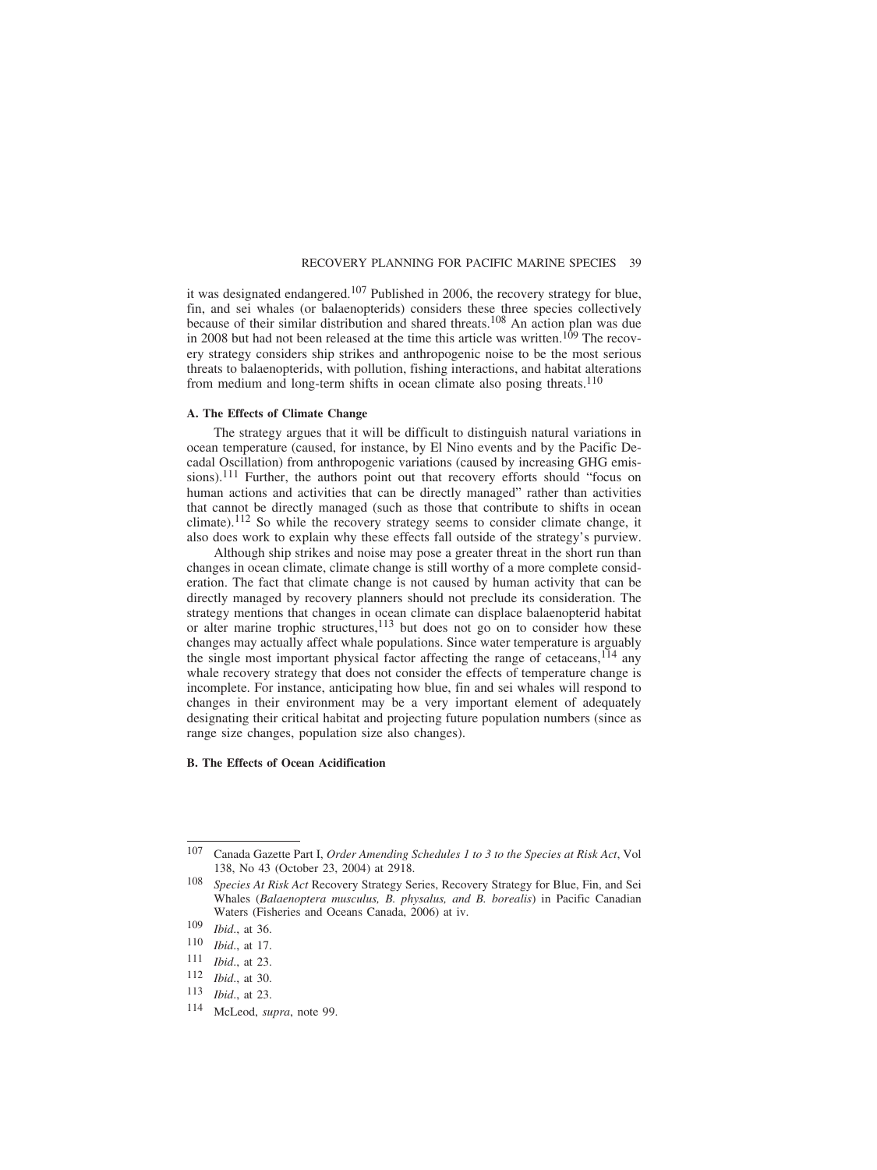it was designated endangered.<sup>107</sup> Published in 2006, the recovery strategy for blue, fin, and sei whales (or balaenopterids) considers these three species collectively because of their similar distribution and shared threats.108 An action plan was due in 2008 but had not been released at the time this article was written.<sup>109</sup> The recovery strategy considers ship strikes and anthropogenic noise to be the most serious threats to balaenopterids, with pollution, fishing interactions, and habitat alterations from medium and long-term shifts in ocean climate also posing threats.<sup>110</sup>

## **A. The Effects of Climate Change**

The strategy argues that it will be difficult to distinguish natural variations in ocean temperature (caused, for instance, by El Nino events and by the Pacific Decadal Oscillation) from anthropogenic variations (caused by increasing GHG emissions).<sup>111</sup> Further, the authors point out that recovery efforts should "focus on human actions and activities that can be directly managed" rather than activities that cannot be directly managed (such as those that contribute to shifts in ocean climate).<sup>112</sup> So while the recovery strategy seems to consider climate change, it also does work to explain why these effects fall outside of the strategy's purview.

Although ship strikes and noise may pose a greater threat in the short run than changes in ocean climate, climate change is still worthy of a more complete consideration. The fact that climate change is not caused by human activity that can be directly managed by recovery planners should not preclude its consideration. The strategy mentions that changes in ocean climate can displace balaenopterid habitat or alter marine trophic structures,  $\frac{113}{10}$  but does not go on to consider how these changes may actually affect whale populations. Since water temperature is arguably the single most important physical factor affecting the range of cetaceans,  $^{114}$  any whale recovery strategy that does not consider the effects of temperature change is incomplete. For instance, anticipating how blue, fin and sei whales will respond to changes in their environment may be a very important element of adequately designating their critical habitat and projecting future population numbers (since as range size changes, population size also changes).

### **B. The Effects of Ocean Acidification**

<sup>107</sup> Canada Gazette Part I, *Order Amending Schedules 1 to 3 to the Species at Risk Act*, Vol 138, No 43 (October 23, 2004) at 2918.

<sup>108</sup> *Species At Risk Act* Recovery Strategy Series, Recovery Strategy for Blue, Fin, and Sei Whales (*Balaenoptera musculus, B. physalus, and B. borealis*) in Pacific Canadian Waters (Fisheries and Oceans Canada, 2006) at iv.

<sup>109</sup> *Ibid*., at 36.

<sup>110</sup> *Ibid.*, at 17.<br>111 *Ibid* at 23

 $\frac{111}{112}$  *Ibid.*, at 23.

<sup>112</sup> *Ibid*., at 30.

*Ibid.*, at 23.

<sup>114</sup> McLeod, *supra*, note 99.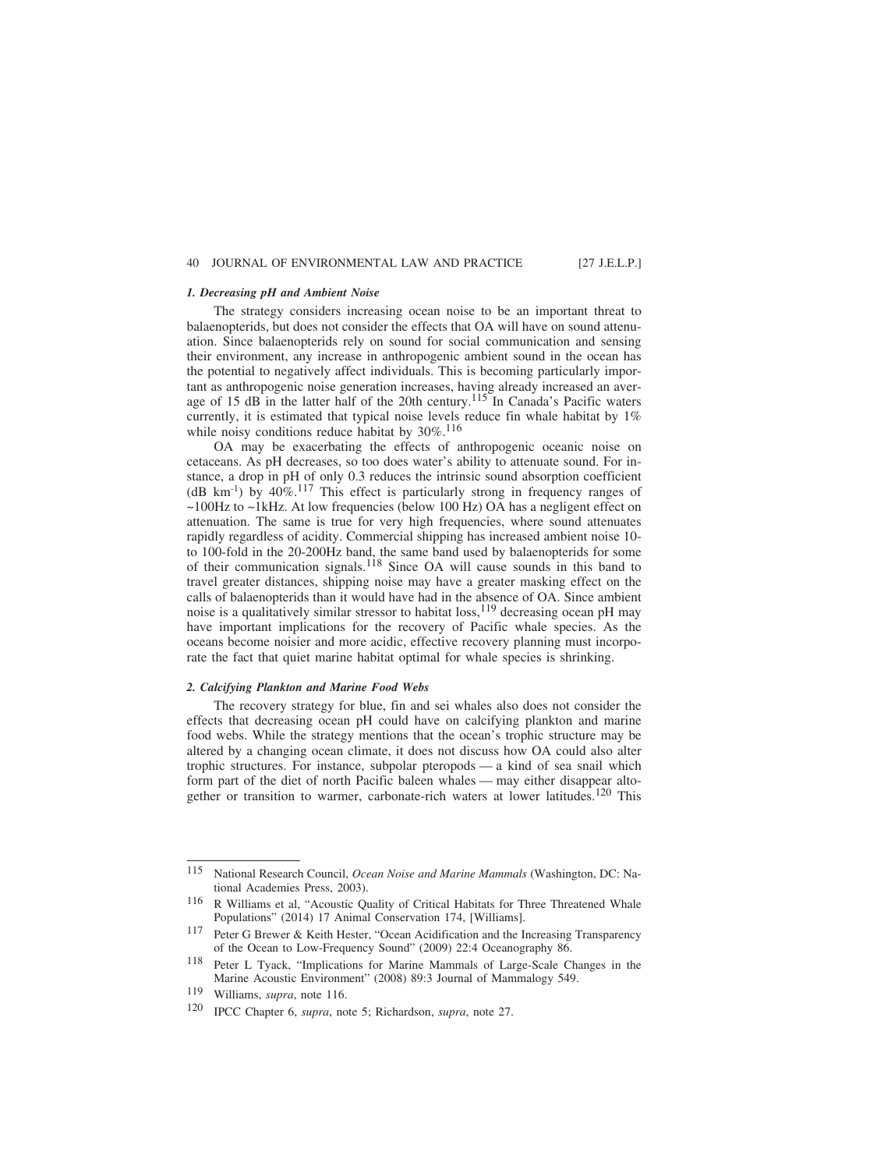### *1. Decreasing pH and Ambient Noise*

The strategy considers increasing ocean noise to be an important threat to balaenopterids, but does not consider the effects that OA will have on sound attenuation. Since balaenopterids rely on sound for social communication and sensing their environment, any increase in anthropogenic ambient sound in the ocean has the potential to negatively affect individuals. This is becoming particularly important as anthropogenic noise generation increases, having already increased an average of 15 dB in the latter half of the 20th century.<sup>115</sup> In Canada's Pacific waters currently, it is estimated that typical noise levels reduce fin whale habitat by 1% while noisy conditions reduce habitat by 30%.<sup>116</sup>

OA may be exacerbating the effects of anthropogenic oceanic noise on cetaceans. As pH decreases, so too does water's ability to attenuate sound. For instance, a drop in pH of only 0.3 reduces the intrinsic sound absorption coefficient (dB km<sup>-1</sup>) by  $40\%$ .<sup>117</sup> This effect is particularly strong in frequency ranges of ~100Hz to ~1kHz. At low frequencies (below 100 Hz) OA has a negligent effect on attenuation. The same is true for very high frequencies, where sound attenuates rapidly regardless of acidity. Commercial shipping has increased ambient noise 10 to 100-fold in the 20-200Hz band, the same band used by balaenopterids for some of their communication signals.118 Since OA will cause sounds in this band to travel greater distances, shipping noise may have a greater masking effect on the calls of balaenopterids than it would have had in the absence of OA. Since ambient noise is a qualitatively similar stressor to habitat  $loss$ ,<sup>119</sup> decreasing ocean pH may have important implications for the recovery of Pacific whale species. As the oceans become noisier and more acidic, effective recovery planning must incorporate the fact that quiet marine habitat optimal for whale species is shrinking.

#### *2. Calcifying Plankton and Marine Food Webs*

The recovery strategy for blue, fin and sei whales also does not consider the effects that decreasing ocean pH could have on calcifying plankton and marine food webs. While the strategy mentions that the ocean's trophic structure may be altered by a changing ocean climate, it does not discuss how OA could also alter trophic structures. For instance, subpolar pteropods — a kind of sea snail which form part of the diet of north Pacific baleen whales — may either disappear altogether or transition to warmer, carbonate-rich waters at lower latitudes.<sup>120</sup> This

<sup>115</sup> National Research Council, *Ocean Noise and Marine Mammals* (Washington, DC: National Academies Press, 2003).

<sup>116</sup> R Williams et al, "Acoustic Quality of Critical Habitats for Three Threatened Whale Populations" (2014) 17 Animal Conservation 174, [Williams].

<sup>117</sup> Peter G Brewer & Keith Hester, "Ocean Acidification and the Increasing Transparency of the Ocean to Low-Frequency Sound" (2009) 22:4 Oceanography 86.

<sup>118</sup> Peter L Tyack, "Implications for Marine Mammals of Large-Scale Changes in the Marine Acoustic Environment" (2008) 89:3 Journal of Mammalogy 549.

<sup>119</sup> Williams, *supra*, note 116.

<sup>120</sup> IPCC Chapter 6, *supra*, note 5; Richardson, *supra*, note 27.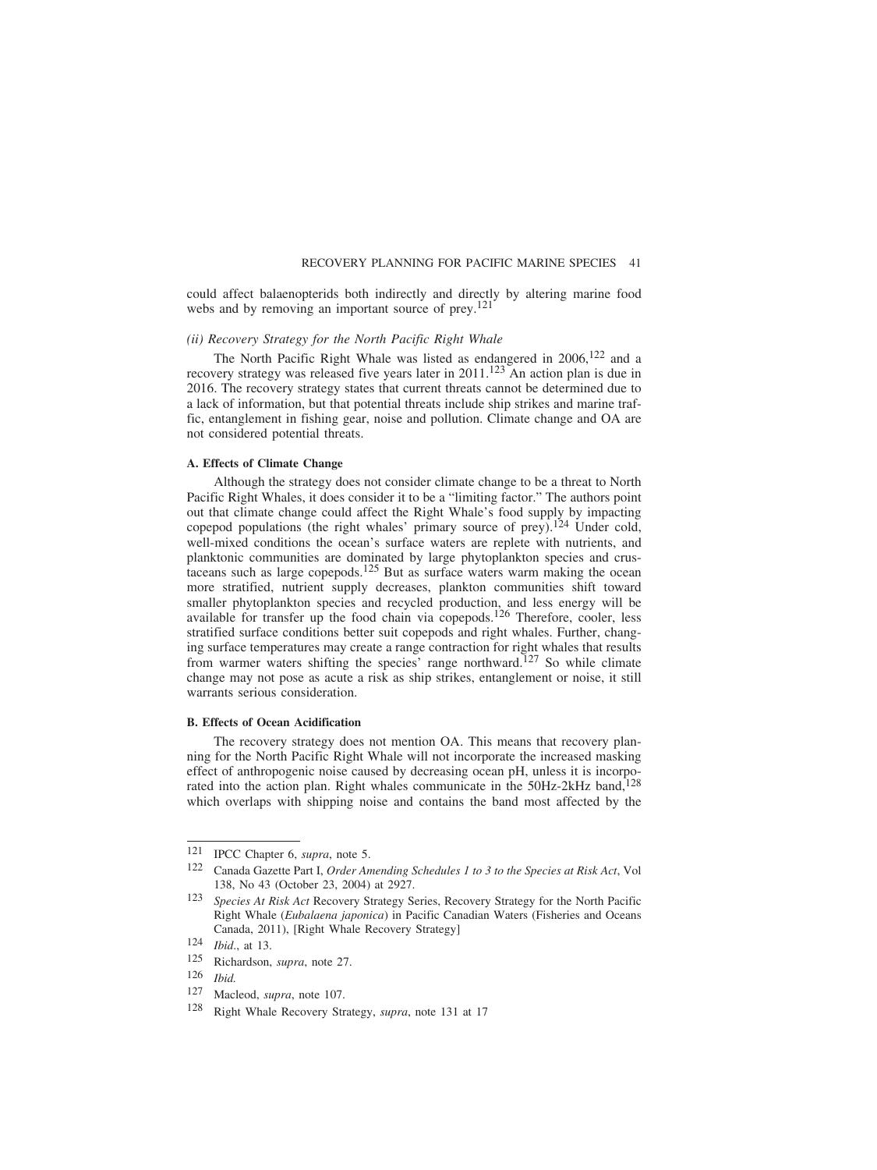could affect balaenopterids both indirectly and directly by altering marine food webs and by removing an important source of prey.<sup>121</sup>

## *(ii) Recovery Strategy for the North Pacific Right Whale*

The North Pacific Right Whale was listed as endangered in  $2006$ ,  $122$  and a recovery strategy was released five years later in  $2011$ .<sup>123</sup> An action plan is due in 2016. The recovery strategy states that current threats cannot be determined due to a lack of information, but that potential threats include ship strikes and marine traffic, entanglement in fishing gear, noise and pollution. Climate change and OA are not considered potential threats.

#### **A. Effects of Climate Change**

Although the strategy does not consider climate change to be a threat to North Pacific Right Whales, it does consider it to be a "limiting factor." The authors point out that climate change could affect the Right Whale's food supply by impacting copepod populations (the right whales' primary source of prey).<sup>124</sup> Under cold, well-mixed conditions the ocean's surface waters are replete with nutrients, and planktonic communities are dominated by large phytoplankton species and crustaceans such as large copepods.<sup>125</sup> But as surface waters warm making the ocean more stratified, nutrient supply decreases, plankton communities shift toward smaller phytoplankton species and recycled production, and less energy will be available for transfer up the food chain via copepods.<sup>126</sup> Therefore, cooler, less stratified surface conditions better suit copepods and right whales. Further, changing surface temperatures may create a range contraction for right whales that results from warmer waters shifting the species' range northward.<sup>127</sup> So while climate change may not pose as acute a risk as ship strikes, entanglement or noise, it still warrants serious consideration.

## **B. Effects of Ocean Acidification**

The recovery strategy does not mention OA. This means that recovery planning for the North Pacific Right Whale will not incorporate the increased masking effect of anthropogenic noise caused by decreasing ocean pH, unless it is incorporated into the action plan. Right whales communicate in the 50Hz-2kHz band,<sup>128</sup> which overlaps with shipping noise and contains the band most affected by the

<sup>121</sup> IPCC Chapter 6, *supra*, note 5.

<sup>122</sup> Canada Gazette Part I, *Order Amending Schedules 1 to 3 to the Species at Risk Act*, Vol 138, No 43 (October 23, 2004) at 2927.

<sup>123</sup> *Species At Risk Act* Recovery Strategy Series, Recovery Strategy for the North Pacific Right Whale (*Eubalaena japonica*) in Pacific Canadian Waters (Fisheries and Oceans Canada, 2011), [Right Whale Recovery Strategy]

<sup>124</sup> *Ibid.*, at 13.<br>125 **Richardson** 

Richardson, *supra*, note 27.

<sup>126</sup> *Ibid.*

Macleod, *supra*, note 107.

<sup>128</sup> Right Whale Recovery Strategy, *supra*, note 131 at 17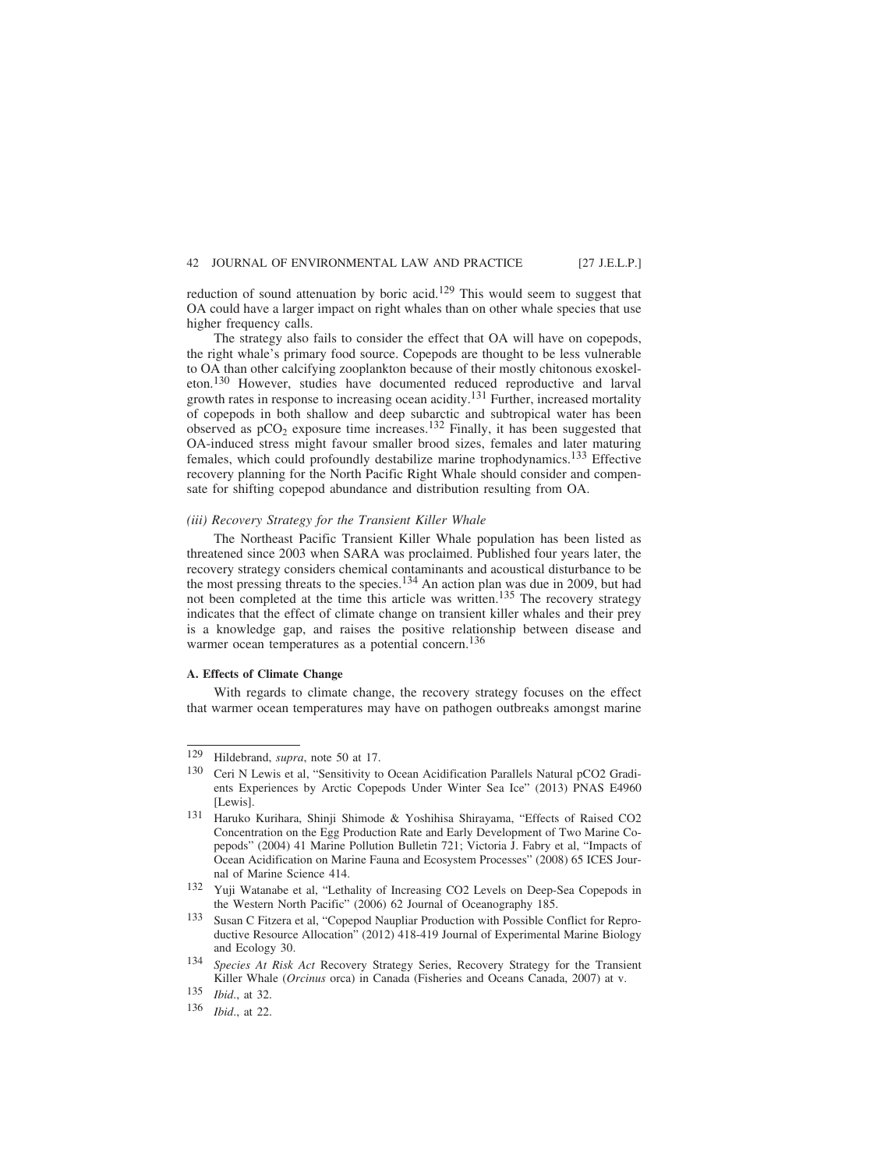reduction of sound attenuation by boric acid.<sup>129</sup> This would seem to suggest that OA could have a larger impact on right whales than on other whale species that use higher frequency calls.

The strategy also fails to consider the effect that OA will have on copepods, the right whale's primary food source. Copepods are thought to be less vulnerable to OA than other calcifying zooplankton because of their mostly chitonous exoskeleton.130 However, studies have documented reduced reproductive and larval growth rates in response to increasing ocean acidity.<sup>131</sup> Further, increased mortality of copepods in both shallow and deep subarctic and subtropical water has been observed as  $pCO<sub>2</sub>$  exposure time increases.<sup>132</sup> Finally, it has been suggested that OA-induced stress might favour smaller brood sizes, females and later maturing females, which could profoundly destabilize marine trophodynamics.133 Effective recovery planning for the North Pacific Right Whale should consider and compensate for shifting copepod abundance and distribution resulting from OA.

## *(iii) Recovery Strategy for the Transient Killer Whale*

The Northeast Pacific Transient Killer Whale population has been listed as threatened since 2003 when SARA was proclaimed. Published four years later, the recovery strategy considers chemical contaminants and acoustical disturbance to be the most pressing threats to the species.<sup>134</sup> An action plan was due in 2009, but had not been completed at the time this article was written.<sup>135</sup> The recovery strategy indicates that the effect of climate change on transient killer whales and their prey is a knowledge gap, and raises the positive relationship between disease and warmer ocean temperatures as a potential concern.<sup>136</sup>

## **A. Effects of Climate Change**

With regards to climate change, the recovery strategy focuses on the effect that warmer ocean temperatures may have on pathogen outbreaks amongst marine

<sup>129</sup> Hildebrand, *supra*, note 50 at 17.

<sup>130</sup> Ceri N Lewis et al, "Sensitivity to Ocean Acidification Parallels Natural pCO2 Gradients Experiences by Arctic Copepods Under Winter Sea Ice" (2013) PNAS E4960 [Lewis].

<sup>131</sup> Haruko Kurihara, Shinji Shimode & Yoshihisa Shirayama, "Effects of Raised CO2 Concentration on the Egg Production Rate and Early Development of Two Marine Copepods" (2004) 41 Marine Pollution Bulletin 721; Victoria J. Fabry et al, "Impacts of Ocean Acidification on Marine Fauna and Ecosystem Processes" (2008) 65 ICES Journal of Marine Science 414.

<sup>132</sup> Yuji Watanabe et al, "Lethality of Increasing CO2 Levels on Deep-Sea Copepods in the Western North Pacific" (2006) 62 Journal of Oceanography 185.

<sup>133</sup> Susan C Fitzera et al, "Copepod Naupliar Production with Possible Conflict for Reproductive Resource Allocation" (2012) 418-419 Journal of Experimental Marine Biology and Ecology 30.

<sup>134</sup> *Species At Risk Act* Recovery Strategy Series, Recovery Strategy for the Transient Killer Whale (*Orcinus* orca) in Canada (Fisheries and Oceans Canada, 2007) at v.

<sup>135</sup> *Ibid*., at 32.

<sup>136</sup> *Ibid*., at 22.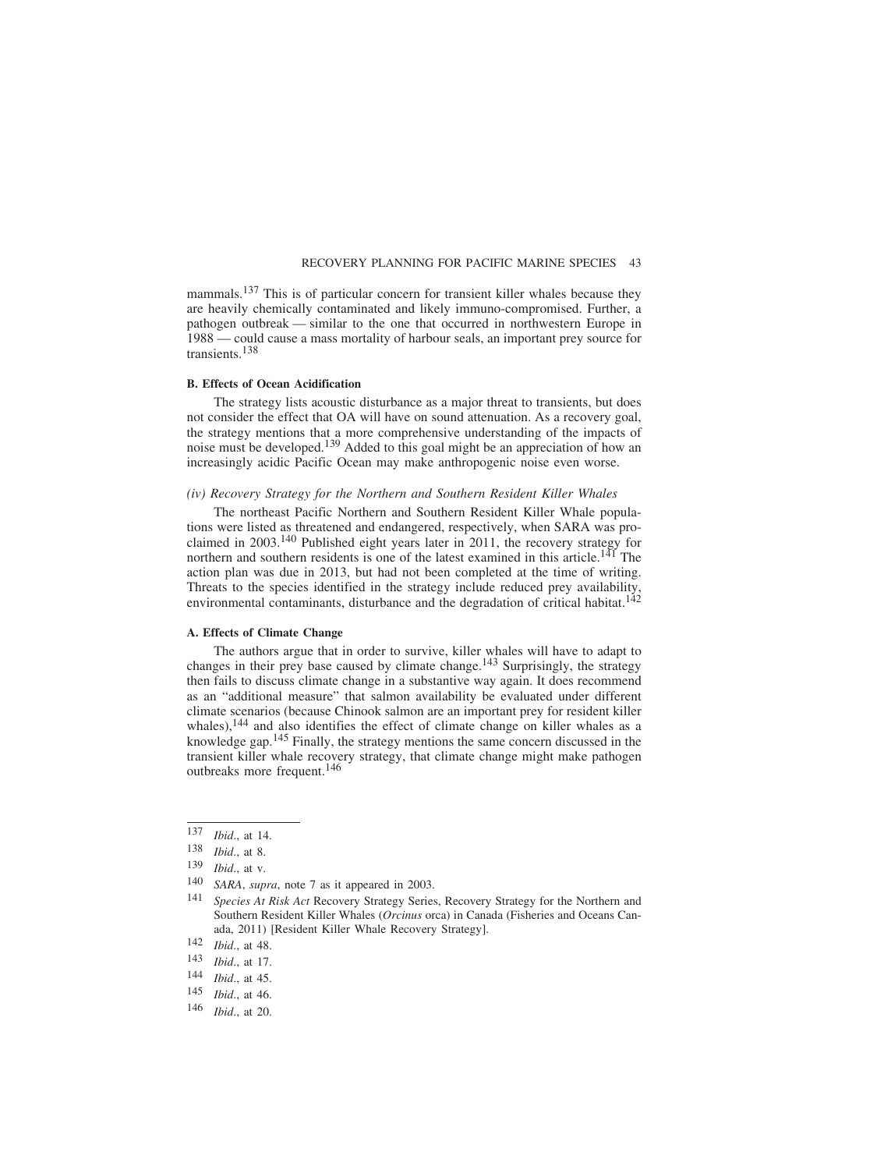mammals.<sup>137</sup> This is of particular concern for transient killer whales because they are heavily chemically contaminated and likely immuno-compromised. Further, a pathogen outbreak — similar to the one that occurred in northwestern Europe in 1988 — could cause a mass mortality of harbour seals, an important prey source for transients.138

## **B. Effects of Ocean Acidification**

The strategy lists acoustic disturbance as a major threat to transients, but does not consider the effect that OA will have on sound attenuation. As a recovery goal, the strategy mentions that a more comprehensive understanding of the impacts of noise must be developed.<sup>139</sup> Added to this goal might be an appreciation of how an increasingly acidic Pacific Ocean may make anthropogenic noise even worse.

## *(iv) Recovery Strategy for the Northern and Southern Resident Killer Whales*

The northeast Pacific Northern and Southern Resident Killer Whale populations were listed as threatened and endangered, respectively, when SARA was proclaimed in 2003.140 Published eight years later in 2011, the recovery strategy for northern and southern residents is one of the latest examined in this article.<sup>141</sup> The action plan was due in 2013, but had not been completed at the time of writing. Threats to the species identified in the strategy include reduced prey availability, environmental contaminants, disturbance and the degradation of critical habitat.<sup>142</sup>

## **A. Effects of Climate Change**

The authors argue that in order to survive, killer whales will have to adapt to changes in their prey base caused by climate change.<sup>143</sup> Surprisingly, the strategy then fails to discuss climate change in a substantive way again. It does recommend as an "additional measure" that salmon availability be evaluated under different climate scenarios (because Chinook salmon are an important prey for resident killer whales), $144$  and also identifies the effect of climate change on killer whales as a knowledge gap.<sup>145</sup> Finally, the strategy mentions the same concern discussed in the transient killer whale recovery strategy, that climate change might make pathogen outbreaks more frequent.146

<sup>137</sup> *Ibid*., at 14.

<sup>138</sup> *Ibid*., at 8.

<sup>139</sup> *Ibid*., at v.

<sup>140</sup> *SARA*, *supra*, note 7 as it appeared in 2003.

<sup>141</sup> *Species At Risk Act* Recovery Strategy Series, Recovery Strategy for the Northern and Southern Resident Killer Whales (*Orcinus* orca) in Canada (Fisheries and Oceans Canada, 2011) [Resident Killer Whale Recovery Strategy].

<sup>142</sup> *Ibid*., at 48.

 $\frac{143}{144}$  *Ibid.*, at 17.

*Ibid.*, at 45.

<sup>145</sup> *Ibid*., at 46.

<sup>146</sup> *Ibid*., at 20.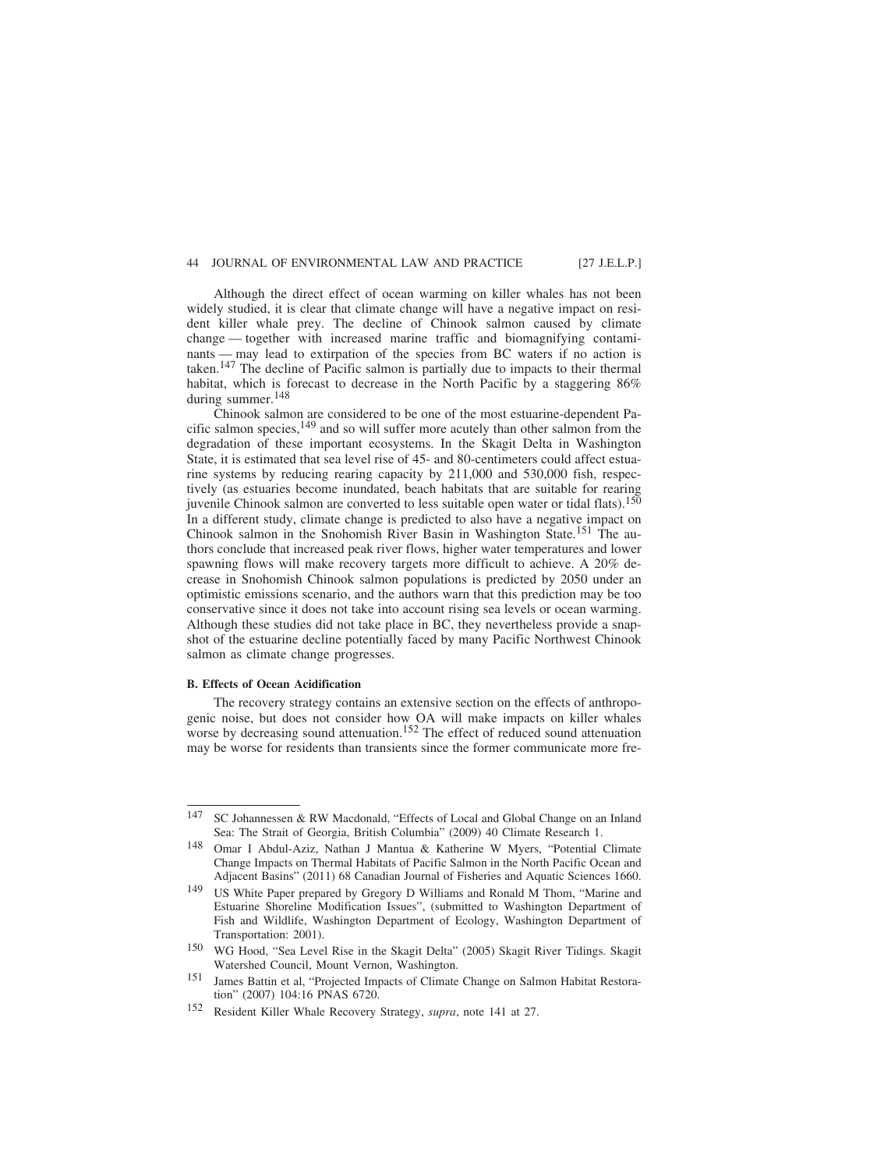Although the direct effect of ocean warming on killer whales has not been widely studied, it is clear that climate change will have a negative impact on resident killer whale prey. The decline of Chinook salmon caused by climate change — together with increased marine traffic and biomagnifying contaminants — may lead to extirpation of the species from BC waters if no action is taken.147 The decline of Pacific salmon is partially due to impacts to their thermal habitat, which is forecast to decrease in the North Pacific by a staggering 86% during summer.<sup>148</sup>

Chinook salmon are considered to be one of the most estuarine-dependent Pacific salmon species,<sup>149</sup> and so will suffer more acutely than other salmon from the degradation of these important ecosystems. In the Skagit Delta in Washington State, it is estimated that sea level rise of 45- and 80-centimeters could affect estuarine systems by reducing rearing capacity by 211,000 and 530,000 fish, respectively (as estuaries become inundated, beach habitats that are suitable for rearing juvenile Chinook salmon are converted to less suitable open water or tidal flats).<sup>150</sup> In a different study, climate change is predicted to also have a negative impact on Chinook salmon in the Snohomish River Basin in Washington State.<sup>151</sup> The authors conclude that increased peak river flows, higher water temperatures and lower spawning flows will make recovery targets more difficult to achieve. A 20% decrease in Snohomish Chinook salmon populations is predicted by 2050 under an optimistic emissions scenario, and the authors warn that this prediction may be too conservative since it does not take into account rising sea levels or ocean warming. Although these studies did not take place in BC, they nevertheless provide a snapshot of the estuarine decline potentially faced by many Pacific Northwest Chinook salmon as climate change progresses.

#### **B. Effects of Ocean Acidification**

The recovery strategy contains an extensive section on the effects of anthropogenic noise, but does not consider how OA will make impacts on killer whales worse by decreasing sound attenuation.<sup>152</sup> The effect of reduced sound attenuation may be worse for residents than transients since the former communicate more fre-

<sup>147</sup> SC Johannessen & RW Macdonald, "Effects of Local and Global Change on an Inland Sea: The Strait of Georgia, British Columbia" (2009) 40 Climate Research 1.

<sup>148</sup> Omar I Abdul-Aziz, Nathan J Mantua & Katherine W Myers, "Potential Climate Change Impacts on Thermal Habitats of Pacific Salmon in the North Pacific Ocean and Adjacent Basins" (2011) 68 Canadian Journal of Fisheries and Aquatic Sciences 1660.

<sup>149</sup> US White Paper prepared by Gregory D Williams and Ronald M Thom, "Marine and Estuarine Shoreline Modification Issues", (submitted to Washington Department of Fish and Wildlife, Washington Department of Ecology, Washington Department of Transportation: 2001).

<sup>150</sup> WG Hood, "Sea Level Rise in the Skagit Delta" (2005) Skagit River Tidings. Skagit Watershed Council, Mount Vernon, Washington.

<sup>151</sup> James Battin et al, "Projected Impacts of Climate Change on Salmon Habitat Restoration" (2007) 104:16 PNAS 6720.

<sup>152</sup> Resident Killer Whale Recovery Strategy, *supra*, note 141 at 27.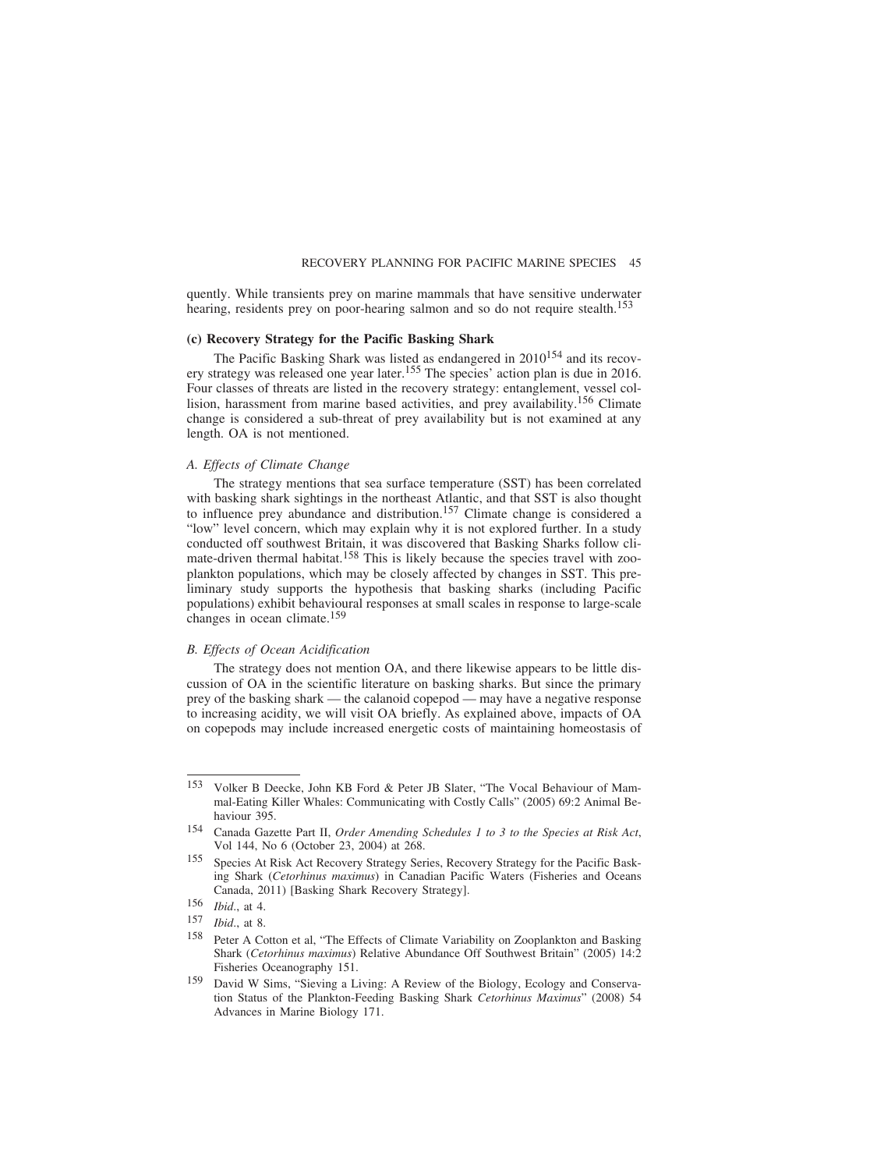quently. While transients prey on marine mammals that have sensitive underwater hearing, residents prey on poor-hearing salmon and so do not require stealth.<sup>153</sup>

## **(c) Recovery Strategy for the Pacific Basking Shark**

The Pacific Basking Shark was listed as endangered in 2010<sup>154</sup> and its recovery strategy was released one year later.<sup>155</sup> The species' action plan is due in 2016. Four classes of threats are listed in the recovery strategy: entanglement, vessel collision, harassment from marine based activities, and prey availability.<sup>156</sup> Climate change is considered a sub-threat of prey availability but is not examined at any length. OA is not mentioned.

#### *A. Effects of Climate Change*

The strategy mentions that sea surface temperature (SST) has been correlated with basking shark sightings in the northeast Atlantic, and that SST is also thought to influence prey abundance and distribution.157 Climate change is considered a "low" level concern, which may explain why it is not explored further. In a study conducted off southwest Britain, it was discovered that Basking Sharks follow climate-driven thermal habitat.<sup>158</sup> This is likely because the species travel with zooplankton populations, which may be closely affected by changes in SST. This preliminary study supports the hypothesis that basking sharks (including Pacific populations) exhibit behavioural responses at small scales in response to large-scale changes in ocean climate.159

## *B. Effects of Ocean Acidification*

The strategy does not mention OA, and there likewise appears to be little discussion of OA in the scientific literature on basking sharks. But since the primary prey of the basking shark — the calanoid copepod — may have a negative response to increasing acidity, we will visit OA briefly. As explained above, impacts of OA on copepods may include increased energetic costs of maintaining homeostasis of

<sup>153</sup> Volker B Deecke, John KB Ford & Peter JB Slater, "The Vocal Behaviour of Mammal-Eating Killer Whales: Communicating with Costly Calls" (2005) 69:2 Animal Behaviour 395.

<sup>154</sup> Canada Gazette Part II, *Order Amending Schedules 1 to 3 to the Species at Risk Act*, Vol 144, No 6 (October 23, 2004) at 268.

<sup>155</sup> Species At Risk Act Recovery Strategy Series, Recovery Strategy for the Pacific Basking Shark (*Cetorhinus maximus*) in Canadian Pacific Waters (Fisheries and Oceans Canada, 2011) [Basking Shark Recovery Strategy].

<sup>156</sup> *Ibid*., at 4.

<sup>157</sup> *Ibid*., at 8.

<sup>158</sup> Peter A Cotton et al, "The Effects of Climate Variability on Zooplankton and Basking Shark (*Cetorhinus maximus*) Relative Abundance Off Southwest Britain" (2005) 14:2 Fisheries Oceanography 151.

<sup>159</sup> David W Sims, "Sieving a Living: A Review of the Biology, Ecology and Conservation Status of the Plankton-Feeding Basking Shark *Cetorhinus Maximus*" (2008) 54 Advances in Marine Biology 171.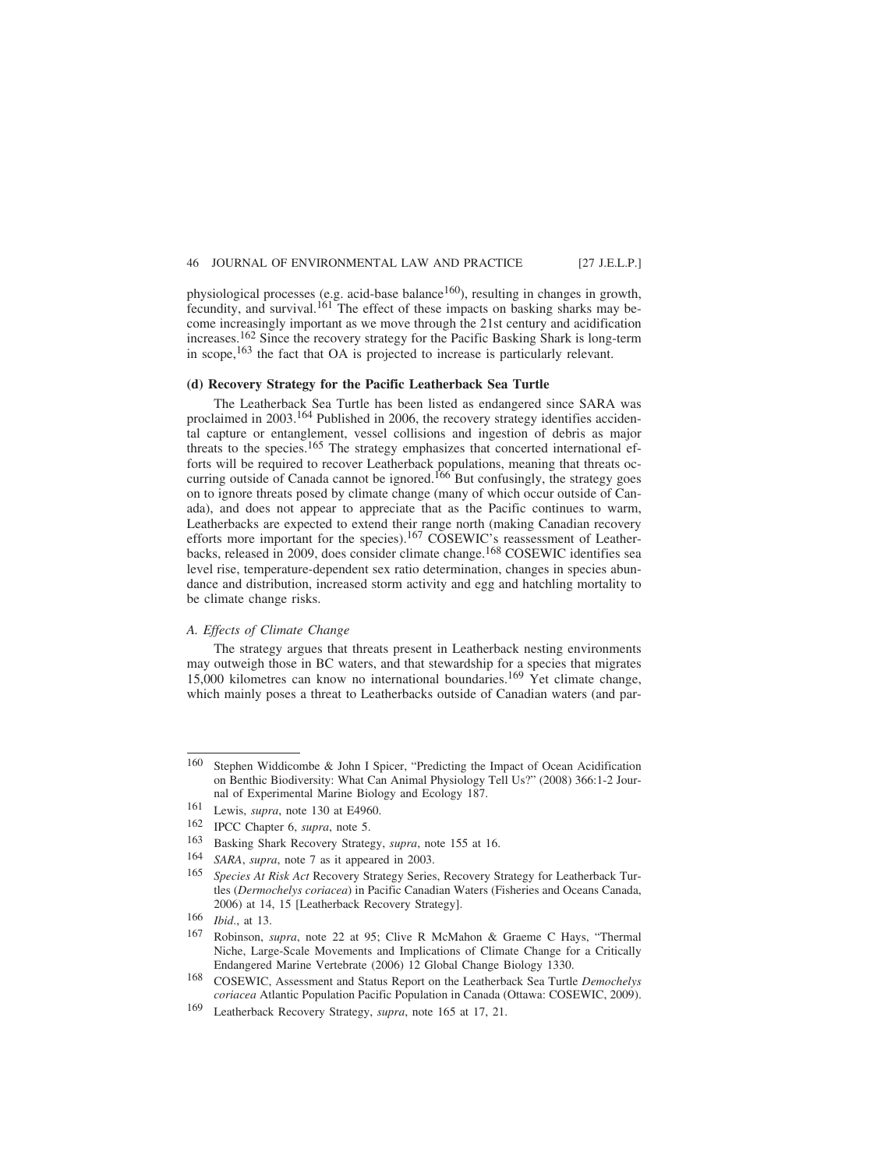physiological processes (e.g. acid-base balance<sup>160</sup>), resulting in changes in growth, fecundity, and survival.<sup>161</sup> The effect of these impacts on basking sharks may become increasingly important as we move through the 21st century and acidification increases.162 Since the recovery strategy for the Pacific Basking Shark is long-term in scope,163 the fact that OA is projected to increase is particularly relevant.

### **(d) Recovery Strategy for the Pacific Leatherback Sea Turtle**

The Leatherback Sea Turtle has been listed as endangered since SARA was proclaimed in 2003.<sup>164</sup> Published in 2006, the recovery strategy identifies accidental capture or entanglement, vessel collisions and ingestion of debris as major threats to the species.<sup>165</sup> The strategy emphasizes that concerted international efforts will be required to recover Leatherback populations, meaning that threats occurring outside of Canada cannot be ignored.<sup>166</sup> But confusingly, the strategy goes on to ignore threats posed by climate change (many of which occur outside of Canada), and does not appear to appreciate that as the Pacific continues to warm, Leatherbacks are expected to extend their range north (making Canadian recovery efforts more important for the species).<sup>167</sup> COSEWIC's reassessment of Leatherbacks, released in 2009, does consider climate change.<sup>168</sup> COSEWIC identifies sea level rise, temperature-dependent sex ratio determination, changes in species abundance and distribution, increased storm activity and egg and hatchling mortality to be climate change risks.

## *A. Effects of Climate Change*

The strategy argues that threats present in Leatherback nesting environments may outweigh those in BC waters, and that stewardship for a species that migrates 15,000 kilometres can know no international boundaries.<sup>169</sup> Yet climate change, which mainly poses a threat to Leatherbacks outside of Canadian waters (and par-

<sup>160</sup> Stephen Widdicombe & John I Spicer, "Predicting the Impact of Ocean Acidification on Benthic Biodiversity: What Can Animal Physiology Tell Us?" (2008) 366:1-2 Journal of Experimental Marine Biology and Ecology 187.

<sup>161</sup> Lewis, *supra*, note 130 at E4960.

<sup>162</sup> IPCC Chapter 6, *supra*, note 5.<br>163 Basking Shark Recovery Strates

<sup>163</sup> Basking Shark Recovery Strategy, *supra*, note 155 at 16.

<sup>164</sup> *SARA*, *supra*, note 7 as it appeared in 2003.

<sup>165</sup> *Species At Risk Act* Recovery Strategy Series, Recovery Strategy for Leatherback Turtles (*Dermochelys coriacea*) in Pacific Canadian Waters (Fisheries and Oceans Canada, 2006) at 14, 15 [Leatherback Recovery Strategy].

<sup>166</sup> *Ibid*., at 13.

<sup>167</sup> Robinson, *supra*, note 22 at 95; Clive R McMahon & Graeme C Hays, "Thermal Niche, Large-Scale Movements and Implications of Climate Change for a Critically Endangered Marine Vertebrate (2006) 12 Global Change Biology 1330.

<sup>168</sup> COSEWIC, Assessment and Status Report on the Leatherback Sea Turtle *Demochelys coriacea* Atlantic Population Pacific Population in Canada (Ottawa: COSEWIC, 2009).

<sup>169</sup> Leatherback Recovery Strategy, *supra*, note 165 at 17, 21.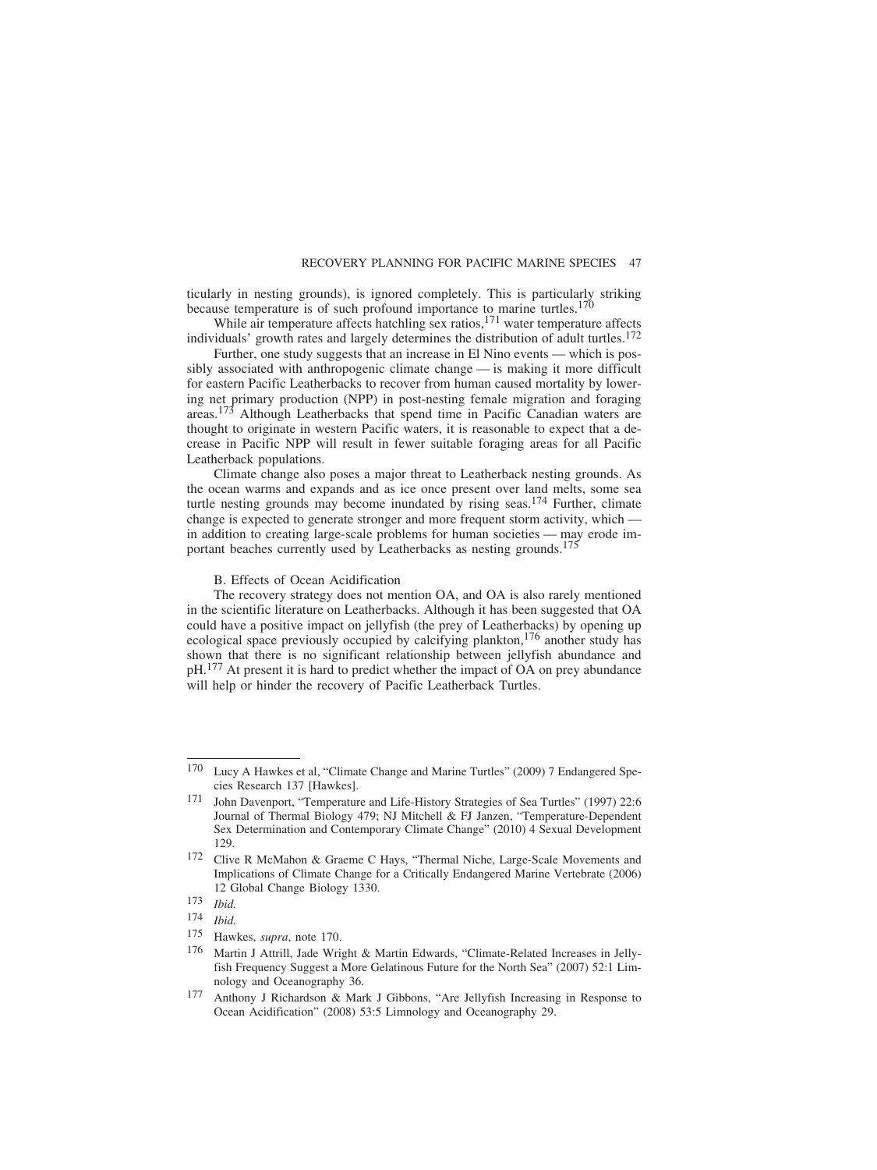ticularly in nesting grounds), is ignored completely. This is particularly striking because temperature is of such profound importance to marine turtles.<sup>170</sup>

While air temperature affects hatchling sex ratios, $171$  water temperature affects individuals' growth rates and largely determines the distribution of adult turtles.<sup>172</sup>

Further, one study suggests that an increase in El Nino events — which is possibly associated with anthropogenic climate change — is making it more difficult for eastern Pacific Leatherbacks to recover from human caused mortality by lowering net primary production (NPP) in post-nesting female migration and foraging areas.<sup>173</sup> Although Leatherbacks that spend time in Pacific Canadian waters are thought to originate in western Pacific waters, it is reasonable to expect that a decrease in Pacific NPP will result in fewer suitable foraging areas for all Pacific Leatherback populations.

Climate change also poses a major threat to Leatherback nesting grounds. As the ocean warms and expands and as ice once present over land melts, some sea turtle nesting grounds may become inundated by rising seas.<sup>174</sup> Further, climate change is expected to generate stronger and more frequent storm activity, which in addition to creating large-scale problems for human societies — may erode important beaches currently used by Leatherbacks as nesting grounds.<sup>175</sup>

B. Effects of Ocean Acidification

The recovery strategy does not mention OA, and OA is also rarely mentioned in the scientific literature on Leatherbacks. Although it has been suggested that OA could have a positive impact on jellyfish (the prey of Leatherbacks) by opening up ecological space previously occupied by calcifying plankton,176 another study has shown that there is no significant relationship between jellyfish abundance and pH.177 At present it is hard to predict whether the impact of OA on prey abundance will help or hinder the recovery of Pacific Leatherback Turtles.

<sup>170</sup> Lucy A Hawkes et al, "Climate Change and Marine Turtles" (2009) 7 Endangered Species Research 137 [Hawkes].

<sup>171</sup> John Davenport, "Temperature and Life-History Strategies of Sea Turtles" (1997) 22:6 Journal of Thermal Biology 479; NJ Mitchell & FJ Janzen, "Temperature-Dependent Sex Determination and Contemporary Climate Change" (2010) 4 Sexual Development 129.

<sup>172</sup> Clive R McMahon & Graeme C Hays, "Thermal Niche, Large-Scale Movements and Implications of Climate Change for a Critically Endangered Marine Vertebrate (2006) 12 Global Change Biology 1330.

<sup>173</sup> *Ibid.*

<sup>174</sup> *Ibid.*

<sup>175</sup> Hawkes, *supra*, note 170.

<sup>176</sup> Martin J Attrill, Jade Wright & Martin Edwards, "Climate-Related Increases in Jellyfish Frequency Suggest a More Gelatinous Future for the North Sea" (2007) 52:1 Limnology and Oceanography 36.

<sup>177</sup> Anthony J Richardson & Mark J Gibbons, "Are Jellyfish Increasing in Response to Ocean Acidification" (2008) 53:5 Limnology and Oceanography 29.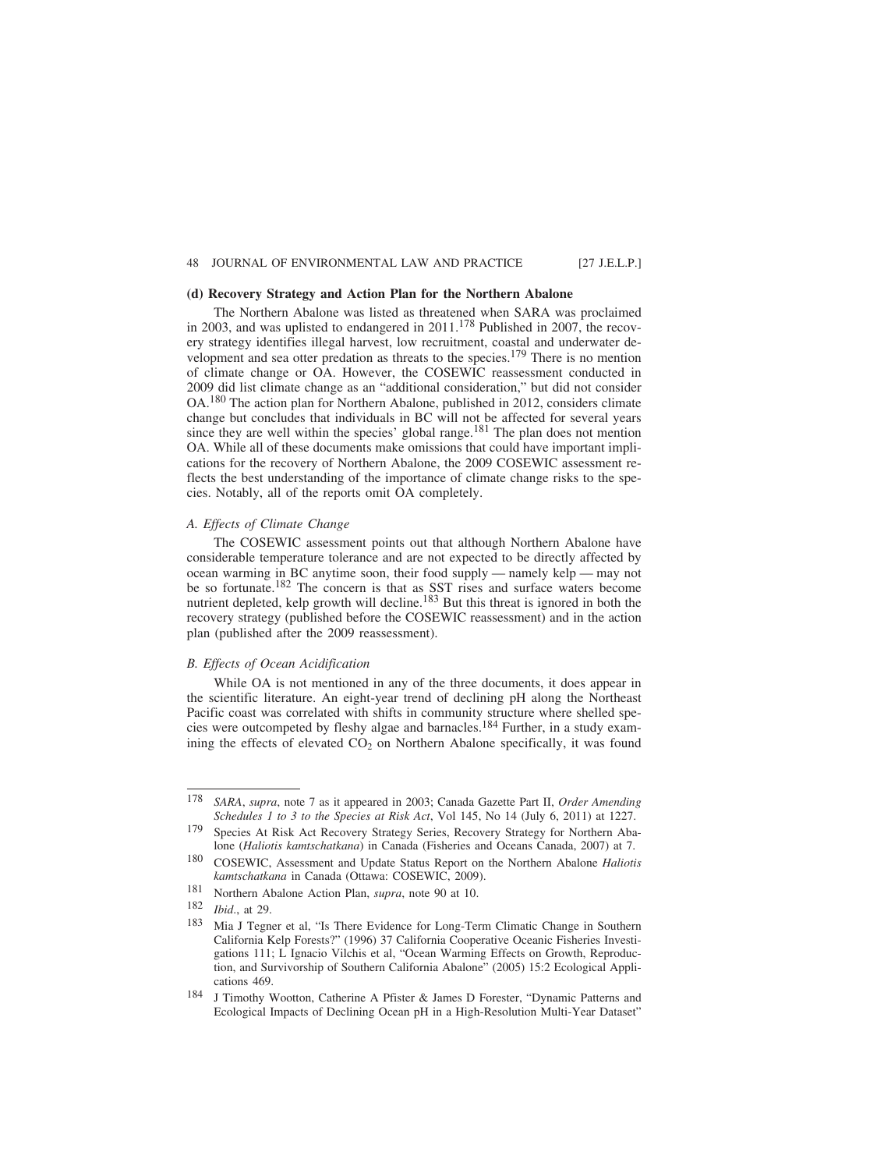### **(d) Recovery Strategy and Action Plan for the Northern Abalone**

The Northern Abalone was listed as threatened when SARA was proclaimed in 2003, and was uplisted to endangered in  $2011$ .<sup>178</sup> Published in  $2007$ , the recovery strategy identifies illegal harvest, low recruitment, coastal and underwater development and sea otter predation as threats to the species.179 There is no mention of climate change or OA. However, the COSEWIC reassessment conducted in 2009 did list climate change as an "additional consideration," but did not consider OA.180 The action plan for Northern Abalone, published in 2012, considers climate change but concludes that individuals in BC will not be affected for several years since they are well within the species' global range.<sup>181</sup> The plan does not mention OA. While all of these documents make omissions that could have important implications for the recovery of Northern Abalone, the 2009 COSEWIC assessment reflects the best understanding of the importance of climate change risks to the species. Notably, all of the reports omit OA completely.

## *A. Effects of Climate Change*

The COSEWIC assessment points out that although Northern Abalone have considerable temperature tolerance and are not expected to be directly affected by ocean warming in BC anytime soon, their food supply — namely kelp — may not be so fortunate.182 The concern is that as SST rises and surface waters become nutrient depleted, kelp growth will decline. $183$  But this threat is ignored in both the recovery strategy (published before the COSEWIC reassessment) and in the action plan (published after the 2009 reassessment).

## *B. Effects of Ocean Acidification*

While OA is not mentioned in any of the three documents, it does appear in the scientific literature. An eight-year trend of declining pH along the Northeast Pacific coast was correlated with shifts in community structure where shelled species were outcompeted by fleshy algae and barnacles.184 Further, in a study examining the effects of elevated CO<sub>2</sub> on Northern Abalone specifically, it was found

<sup>178</sup> *SARA*, *supra*, note 7 as it appeared in 2003; Canada Gazette Part II, *Order Amending Schedules 1 to 3 to the Species at Risk Act*, Vol 145, No 14 (July 6, 2011) at 1227.

<sup>179</sup> Species At Risk Act Recovery Strategy Series, Recovery Strategy for Northern Abalone (*Haliotis kamtschatkana*) in Canada (Fisheries and Oceans Canada, 2007) at 7.

<sup>180</sup> COSEWIC, Assessment and Update Status Report on the Northern Abalone *Haliotis kamtschatkana* in Canada (Ottawa: COSEWIC, 2009).

<sup>181</sup> Northern Abalone Action Plan, *supra*, note 90 at 10.

<sup>182</sup> *Ibid*., at 29.

<sup>183</sup> Mia J Tegner et al, "Is There Evidence for Long-Term Climatic Change in Southern California Kelp Forests?" (1996) 37 California Cooperative Oceanic Fisheries Investigations 111; L Ignacio Vilchis et al, "Ocean Warming Effects on Growth, Reproduction, and Survivorship of Southern California Abalone" (2005) 15:2 Ecological Applications 469.

<sup>184</sup> J Timothy Wootton, Catherine A Pfister & James D Forester, "Dynamic Patterns and Ecological Impacts of Declining Ocean pH in a High-Resolution Multi-Year Dataset"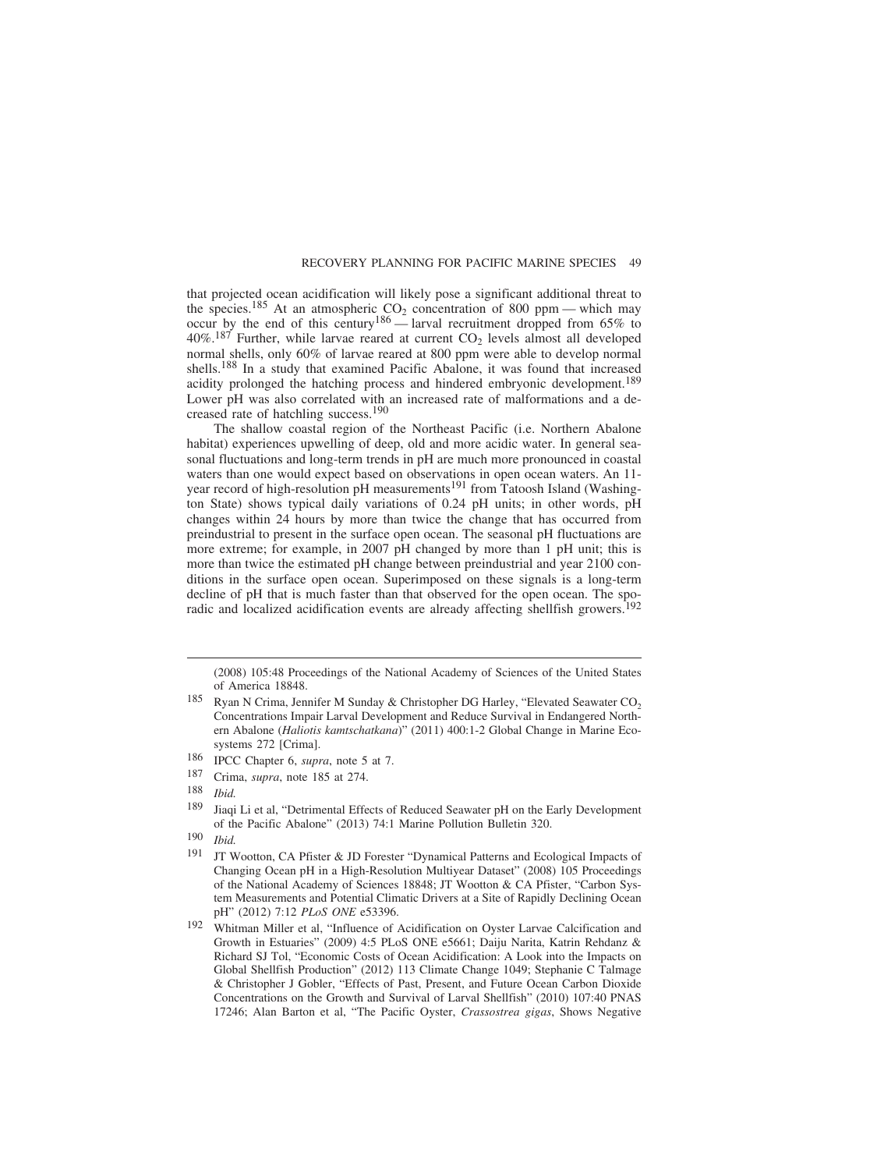that projected ocean acidification will likely pose a significant additional threat to the species.<sup>185</sup> At an atmospheric  $CO_2$  concentration of 800 ppm — which may occur by the end of this century<sup>186</sup> — larval recruitment dropped from 65% to  $40\%$ .<sup>187</sup> Further, while larvae reared at current  $CO<sub>2</sub>$  levels almost all developed normal shells, only 60% of larvae reared at 800 ppm were able to develop normal shells.188 In a study that examined Pacific Abalone, it was found that increased acidity prolonged the hatching process and hindered embryonic development.<sup>189</sup> Lower pH was also correlated with an increased rate of malformations and a decreased rate of hatchling success.<sup>190</sup>

The shallow coastal region of the Northeast Pacific (i.e. Northern Abalone habitat) experiences upwelling of deep, old and more acidic water. In general seasonal fluctuations and long-term trends in pH are much more pronounced in coastal waters than one would expect based on observations in open ocean waters. An 11 year record of high-resolution pH measurements<sup>191</sup> from Tatoosh Island (Washington State) shows typical daily variations of 0.24 pH units; in other words, pH changes within 24 hours by more than twice the change that has occurred from preindustrial to present in the surface open ocean. The seasonal pH fluctuations are more extreme; for example, in 2007 pH changed by more than 1 pH unit; this is more than twice the estimated pH change between preindustrial and year 2100 conditions in the surface open ocean. Superimposed on these signals is a long-term decline of pH that is much faster than that observed for the open ocean. The sporadic and localized acidification events are already affecting shellfish growers.<sup>192</sup>

187 Crima, *supra*, note 185 at 274.

189 Jiaqi Li et al, "Detrimental Effects of Reduced Seawater pH on the Early Development of the Pacific Abalone" (2013) 74:1 Marine Pollution Bulletin 320.

<sup>(2008) 105:48</sup> Proceedings of the National Academy of Sciences of the United States of America 18848.

<sup>&</sup>lt;sup>185</sup> Ryan N Crima, Jennifer M Sunday & Christopher DG Harley, "Elevated Seawater CO<sub>2</sub> Concentrations Impair Larval Development and Reduce Survival in Endangered Northern Abalone (*Haliotis kamtschatkana*)" (2011) 400:1-2 Global Change in Marine Ecosystems 272 [Crima].

<sup>186</sup> IPCC Chapter 6, *supra*, note 5 at 7.

<sup>188</sup> *Ibid.*

<sup>190</sup> *Ibid.*

<sup>&</sup>lt;sup>191</sup> JT Wootton, CA Pfister & JD Forester "Dynamical Patterns and Ecological Impacts of Changing Ocean pH in a High-Resolution Multiyear Dataset" (2008) 105 Proceedings of the National Academy of Sciences 18848; JT Wootton & CA Pfister, "Carbon System Measurements and Potential Climatic Drivers at a Site of Rapidly Declining Ocean pH" (2012) 7:12 *PLoS ONE* e53396.

<sup>192</sup> Whitman Miller et al, "Influence of Acidification on Oyster Larvae Calcification and Growth in Estuaries" (2009) 4:5 PLoS ONE e5661; Daiju Narita, Katrin Rehdanz & Richard SJ Tol, "Economic Costs of Ocean Acidification: A Look into the Impacts on Global Shellfish Production" (2012) 113 Climate Change 1049; Stephanie C Talmage & Christopher J Gobler, "Effects of Past, Present, and Future Ocean Carbon Dioxide Concentrations on the Growth and Survival of Larval Shellfish" (2010) 107:40 PNAS 17246; Alan Barton et al, "The Pacific Oyster, *Crassostrea gigas*, Shows Negative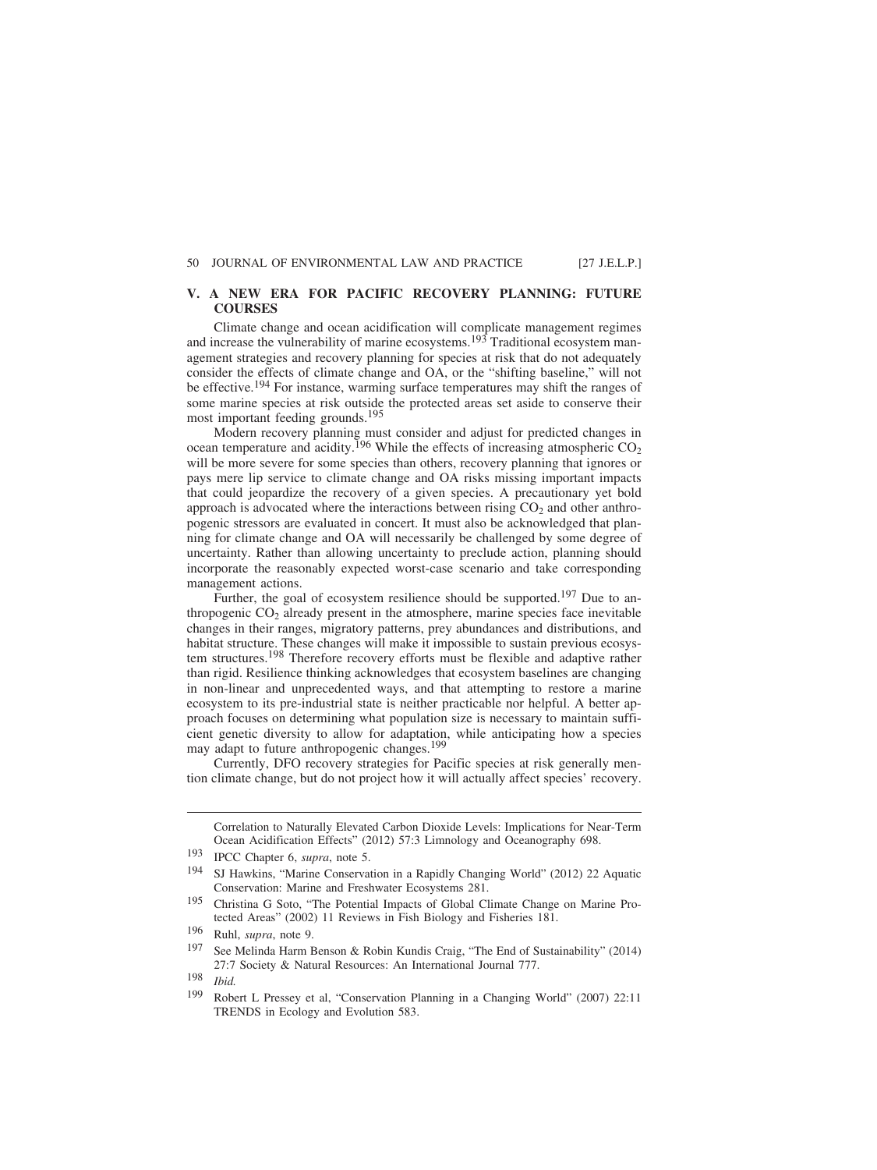## **V. A NEW ERA FOR PACIFIC RECOVERY PLANNING: FUTURE COURSES**

Climate change and ocean acidification will complicate management regimes and increase the vulnerability of marine ecosystems.<sup>193</sup> Traditional ecosystem management strategies and recovery planning for species at risk that do not adequately consider the effects of climate change and OA, or the "shifting baseline," will not be effective.194 For instance, warming surface temperatures may shift the ranges of some marine species at risk outside the protected areas set aside to conserve their most important feeding grounds.<sup>195</sup>

Modern recovery planning must consider and adjust for predicted changes in ocean temperature and acidity.<sup>196</sup> While the effects of increasing atmospheric  $CO<sub>2</sub>$ will be more severe for some species than others, recovery planning that ignores or pays mere lip service to climate change and OA risks missing important impacts that could jeopardize the recovery of a given species. A precautionary yet bold approach is advocated where the interactions between rising  $CO<sub>2</sub>$  and other anthropogenic stressors are evaluated in concert. It must also be acknowledged that planning for climate change and OA will necessarily be challenged by some degree of uncertainty. Rather than allowing uncertainty to preclude action, planning should incorporate the reasonably expected worst-case scenario and take corresponding management actions.

Further, the goal of ecosystem resilience should be supported.<sup>197</sup> Due to anthropogenic  $CO<sub>2</sub>$  already present in the atmosphere, marine species face inevitable changes in their ranges, migratory patterns, prey abundances and distributions, and habitat structure. These changes will make it impossible to sustain previous ecosystem structures.198 Therefore recovery efforts must be flexible and adaptive rather than rigid. Resilience thinking acknowledges that ecosystem baselines are changing in non-linear and unprecedented ways, and that attempting to restore a marine ecosystem to its pre-industrial state is neither practicable nor helpful. A better approach focuses on determining what population size is necessary to maintain sufficient genetic diversity to allow for adaptation, while anticipating how a species may adapt to future anthropogenic changes.<sup>199</sup>

Currently, DFO recovery strategies for Pacific species at risk generally mention climate change, but do not project how it will actually affect species' recovery.

Correlation to Naturally Elevated Carbon Dioxide Levels: Implications for Near-Term Ocean Acidification Effects" (2012) 57:3 Limnology and Oceanography 698.

<sup>193</sup> IPCC Chapter 6, *supra*, note 5.

<sup>194</sup> SJ Hawkins, "Marine Conservation in a Rapidly Changing World" (2012) 22 Aquatic Conservation: Marine and Freshwater Ecosystems 281.

<sup>195</sup> Christina G Soto, "The Potential Impacts of Global Climate Change on Marine Protected Areas" (2002) 11 Reviews in Fish Biology and Fisheries 181.

<sup>196</sup> Ruhl, *supra*, note 9.

<sup>197</sup> See Melinda Harm Benson & Robin Kundis Craig, "The End of Sustainability" (2014) 27:7 Society & Natural Resources: An International Journal 777.

<sup>198</sup> *Ibid.*

<sup>199</sup> Robert L Pressey et al, "Conservation Planning in a Changing World" (2007) 22:11 TRENDS in Ecology and Evolution 583.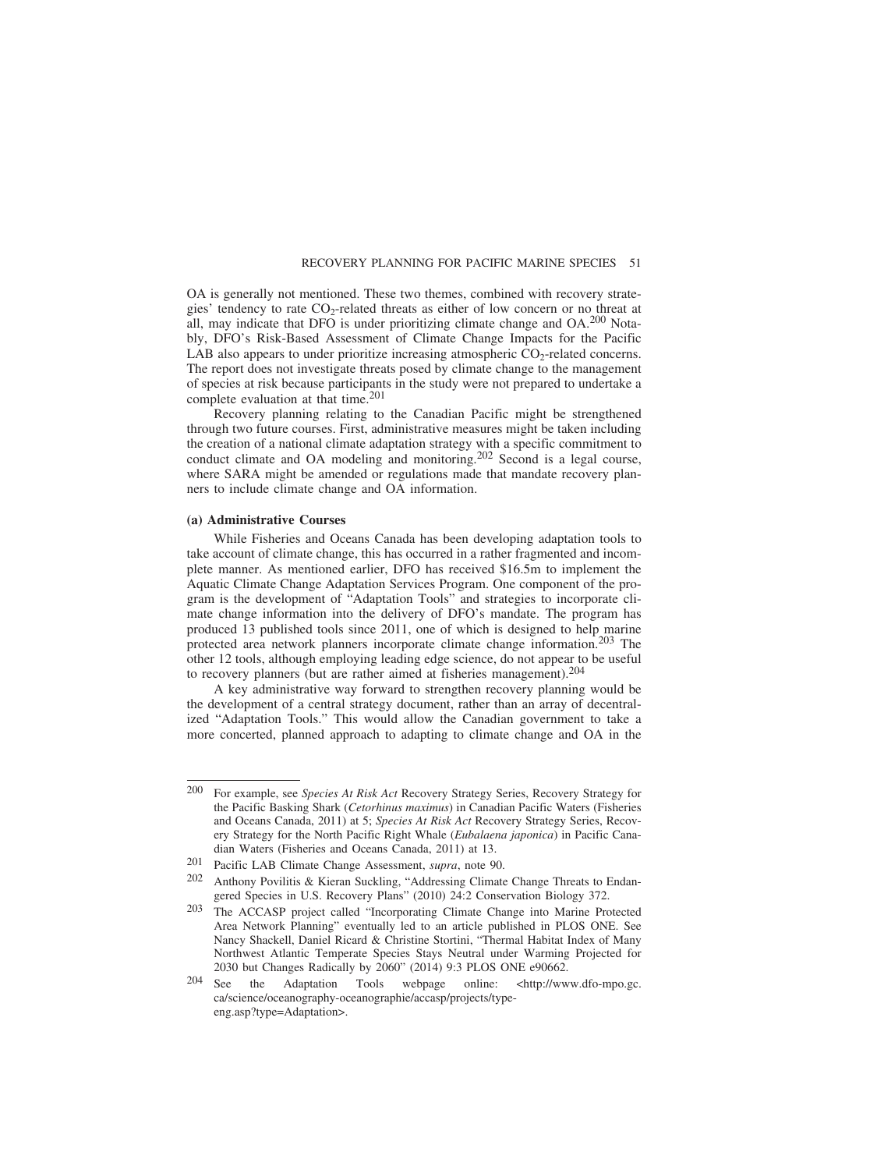OA is generally not mentioned. These two themes, combined with recovery strategies' tendency to rate CO<sub>2</sub>-related threats as either of low concern or no threat at all, may indicate that DFO is under prioritizing climate change and  $OA<sup>200</sup> Nota$ bly, DFO's Risk-Based Assessment of Climate Change Impacts for the Pacific LAB also appears to under prioritize increasing atmospheric  $CO_2$ -related concerns. The report does not investigate threats posed by climate change to the management of species at risk because participants in the study were not prepared to undertake a complete evaluation at that time.201

Recovery planning relating to the Canadian Pacific might be strengthened through two future courses. First, administrative measures might be taken including the creation of a national climate adaptation strategy with a specific commitment to conduct climate and OA modeling and monitoring.<sup>202</sup> Second is a legal course, where SARA might be amended or regulations made that mandate recovery planners to include climate change and OA information.

## **(a) Administrative Courses**

While Fisheries and Oceans Canada has been developing adaptation tools to take account of climate change, this has occurred in a rather fragmented and incomplete manner. As mentioned earlier, DFO has received \$16.5m to implement the Aquatic Climate Change Adaptation Services Program. One component of the program is the development of "Adaptation Tools" and strategies to incorporate climate change information into the delivery of DFO's mandate. The program has produced 13 published tools since 2011, one of which is designed to help marine protected area network planners incorporate climate change information.203 The other 12 tools, although employing leading edge science, do not appear to be useful to recovery planners (but are rather aimed at fisheries management).<sup>204</sup>

A key administrative way forward to strengthen recovery planning would be the development of a central strategy document, rather than an array of decentralized "Adaptation Tools." This would allow the Canadian government to take a more concerted, planned approach to adapting to climate change and OA in the

<sup>200</sup> For example, see *Species At Risk Act* Recovery Strategy Series, Recovery Strategy for the Pacific Basking Shark (*Cetorhinus maximus*) in Canadian Pacific Waters (Fisheries and Oceans Canada, 2011) at 5; *Species At Risk Act* Recovery Strategy Series, Recovery Strategy for the North Pacific Right Whale (*Eubalaena japonica*) in Pacific Canadian Waters (Fisheries and Oceans Canada, 2011) at 13.

<sup>201</sup> Pacific LAB Climate Change Assessment, *supra*, note 90.

<sup>202</sup> Anthony Povilitis & Kieran Suckling, "Addressing Climate Change Threats to Endangered Species in U.S. Recovery Plans" (2010) 24:2 Conservation Biology 372.

<sup>203</sup> The ACCASP project called "Incorporating Climate Change into Marine Protected Area Network Planning" eventually led to an article published in PLOS ONE. See Nancy Shackell, Daniel Ricard & Christine Stortini, "Thermal Habitat Index of Many Northwest Atlantic Temperate Species Stays Neutral under Warming Projected for 2030 but Changes Radically by 2060" (2014) 9:3 PLOS ONE e90662.

<sup>204</sup> See the Adaptation Tools webpage online: <http://www.dfo-mpo.gc. ca/science/oceanography-oceanographie/accasp/projects/typeeng.asp?type=Adaptation>.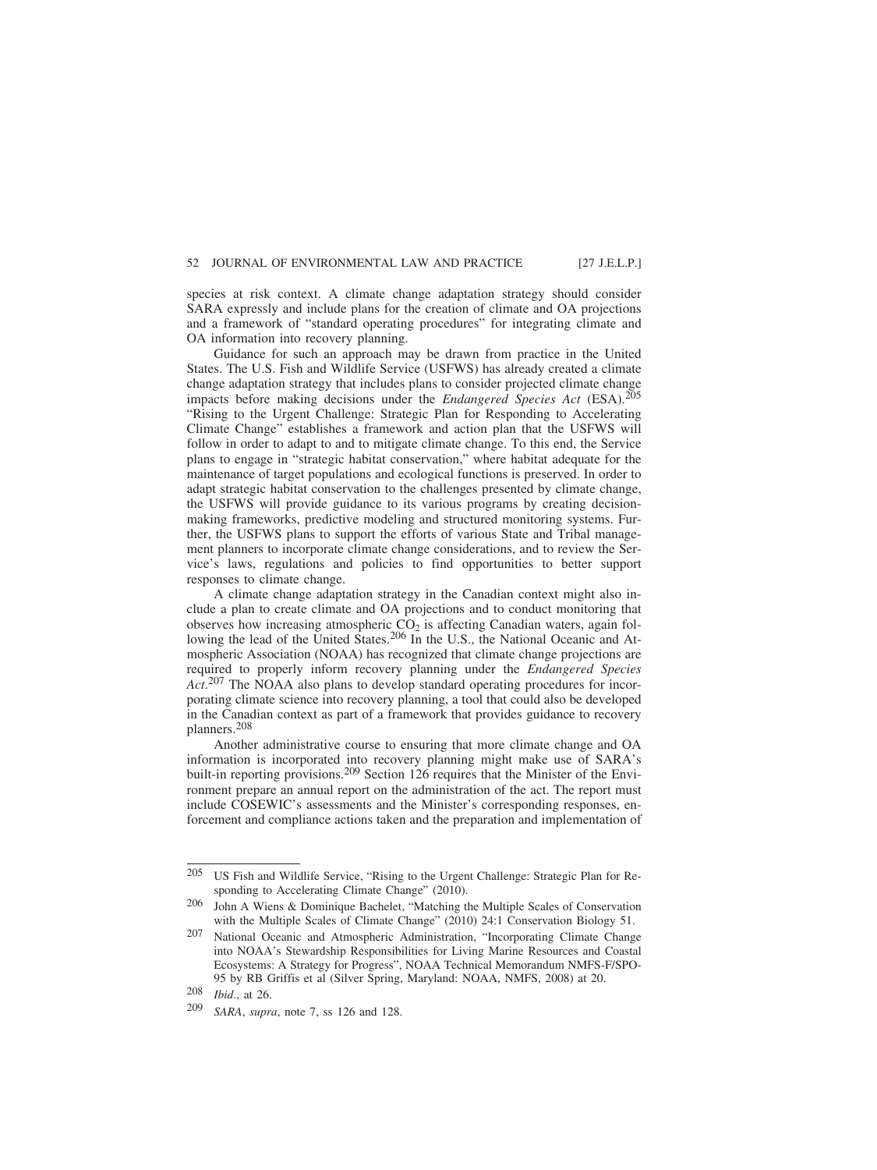species at risk context. A climate change adaptation strategy should consider SARA expressly and include plans for the creation of climate and OA projections and a framework of "standard operating procedures" for integrating climate and OA information into recovery planning.

Guidance for such an approach may be drawn from practice in the United States. The U.S. Fish and Wildlife Service (USFWS) has already created a climate change adaptation strategy that includes plans to consider projected climate change impacts before making decisions under the *Endangered Species Act* (ESA).205 "Rising to the Urgent Challenge: Strategic Plan for Responding to Accelerating Climate Change" establishes a framework and action plan that the USFWS will follow in order to adapt to and to mitigate climate change. To this end, the Service plans to engage in "strategic habitat conservation," where habitat adequate for the maintenance of target populations and ecological functions is preserved. In order to adapt strategic habitat conservation to the challenges presented by climate change, the USFWS will provide guidance to its various programs by creating decisionmaking frameworks, predictive modeling and structured monitoring systems. Further, the USFWS plans to support the efforts of various State and Tribal management planners to incorporate climate change considerations, and to review the Service's laws, regulations and policies to find opportunities to better support responses to climate change.

A climate change adaptation strategy in the Canadian context might also include a plan to create climate and OA projections and to conduct monitoring that observes how increasing atmospheric  $CO<sub>2</sub>$  is affecting Canadian waters, again following the lead of the United States.<sup>206</sup> In the U.S., the National Oceanic and Atmospheric Association (NOAA) has recognized that climate change projections are required to properly inform recovery planning under the *Endangered Species Act*. 207 The NOAA also plans to develop standard operating procedures for incorporating climate science into recovery planning, a tool that could also be developed in the Canadian context as part of a framework that provides guidance to recovery planners.208

Another administrative course to ensuring that more climate change and OA information is incorporated into recovery planning might make use of SARA's built-in reporting provisions.<sup>209</sup> Section 126 requires that the Minister of the Environment prepare an annual report on the administration of the act. The report must include COSEWIC's assessments and the Minister's corresponding responses, enforcement and compliance actions taken and the preparation and implementation of

<sup>205</sup> US Fish and Wildlife Service, "Rising to the Urgent Challenge: Strategic Plan for Responding to Accelerating Climate Change" (2010).

<sup>206</sup> John A Wiens & Dominique Bachelet, "Matching the Multiple Scales of Conservation with the Multiple Scales of Climate Change" (2010) 24:1 Conservation Biology 51.

<sup>207</sup> National Oceanic and Atmospheric Administration, "Incorporating Climate Change into NOAA's Stewardship Responsibilities for Living Marine Resources and Coastal Ecosystems: A Strategy for Progress", NOAA Technical Memorandum NMFS-F/SPO-95 by RB Griffis et al (Silver Spring, Maryland: NOAA, NMFS, 2008) at 20.

<sup>208</sup> *Ibid*., at 26.

SARA, *supra*, note 7, ss 126 and 128.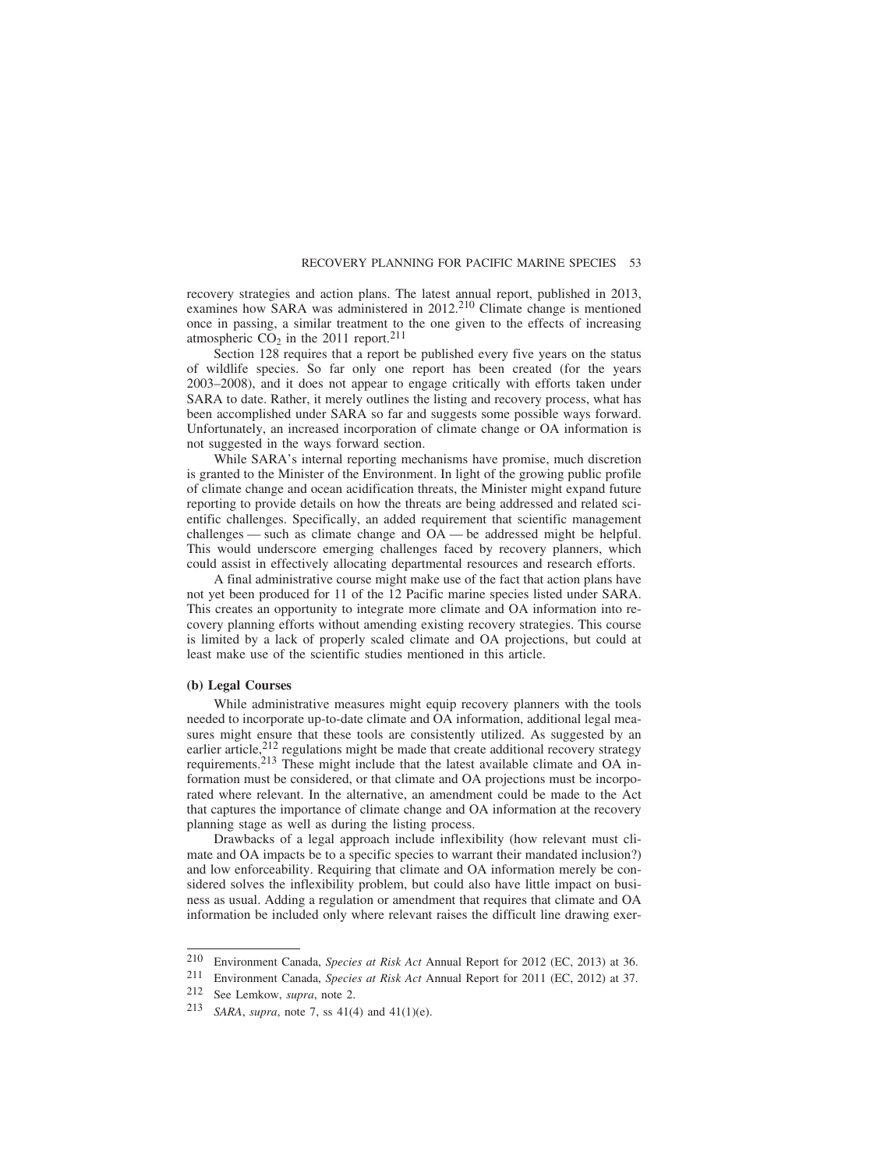recovery strategies and action plans. The latest annual report, published in 2013, examines how SARA was administered in 2012.<sup>210</sup> Climate change is mentioned once in passing, a similar treatment to the one given to the effects of increasing atmospheric  $CO<sub>2</sub>$  in the 2011 report.<sup>211</sup>

Section 128 requires that a report be published every five years on the status of wildlife species. So far only one report has been created (for the years 2003–2008), and it does not appear to engage critically with efforts taken under SARA to date. Rather, it merely outlines the listing and recovery process, what has been accomplished under SARA so far and suggests some possible ways forward. Unfortunately, an increased incorporation of climate change or OA information is not suggested in the ways forward section.

While SARA's internal reporting mechanisms have promise, much discretion is granted to the Minister of the Environment. In light of the growing public profile of climate change and ocean acidification threats, the Minister might expand future reporting to provide details on how the threats are being addressed and related scientific challenges. Specifically, an added requirement that scientific management challenges — such as climate change and OA — be addressed might be helpful. This would underscore emerging challenges faced by recovery planners, which could assist in effectively allocating departmental resources and research efforts.

A final administrative course might make use of the fact that action plans have not yet been produced for 11 of the 12 Pacific marine species listed under SARA. This creates an opportunity to integrate more climate and OA information into recovery planning efforts without amending existing recovery strategies. This course is limited by a lack of properly scaled climate and OA projections, but could at least make use of the scientific studies mentioned in this article.

#### **(b) Legal Courses**

While administrative measures might equip recovery planners with the tools needed to incorporate up-to-date climate and OA information, additional legal measures might ensure that these tools are consistently utilized. As suggested by an earlier article, $2^{12}$  regulations might be made that create additional recovery strategy requirements.213 These might include that the latest available climate and OA information must be considered, or that climate and OA projections must be incorporated where relevant. In the alternative, an amendment could be made to the Act that captures the importance of climate change and OA information at the recovery planning stage as well as during the listing process.

Drawbacks of a legal approach include inflexibility (how relevant must climate and OA impacts be to a specific species to warrant their mandated inclusion?) and low enforceability. Requiring that climate and OA information merely be considered solves the inflexibility problem, but could also have little impact on business as usual. Adding a regulation or amendment that requires that climate and OA information be included only where relevant raises the difficult line drawing exer-

<sup>210</sup> Environment Canada, *Species at Risk Act* Annual Report for 2012 (EC, 2013) at 36.

<sup>211</sup> Environment Canada, *Species at Risk Act* Annual Report for 2011 (EC, 2012) at 37.

See Lemkow, *supra*, note 2.

<sup>213</sup> *SARA*, *supra*, note 7, ss 41(4) and 41(1)(e).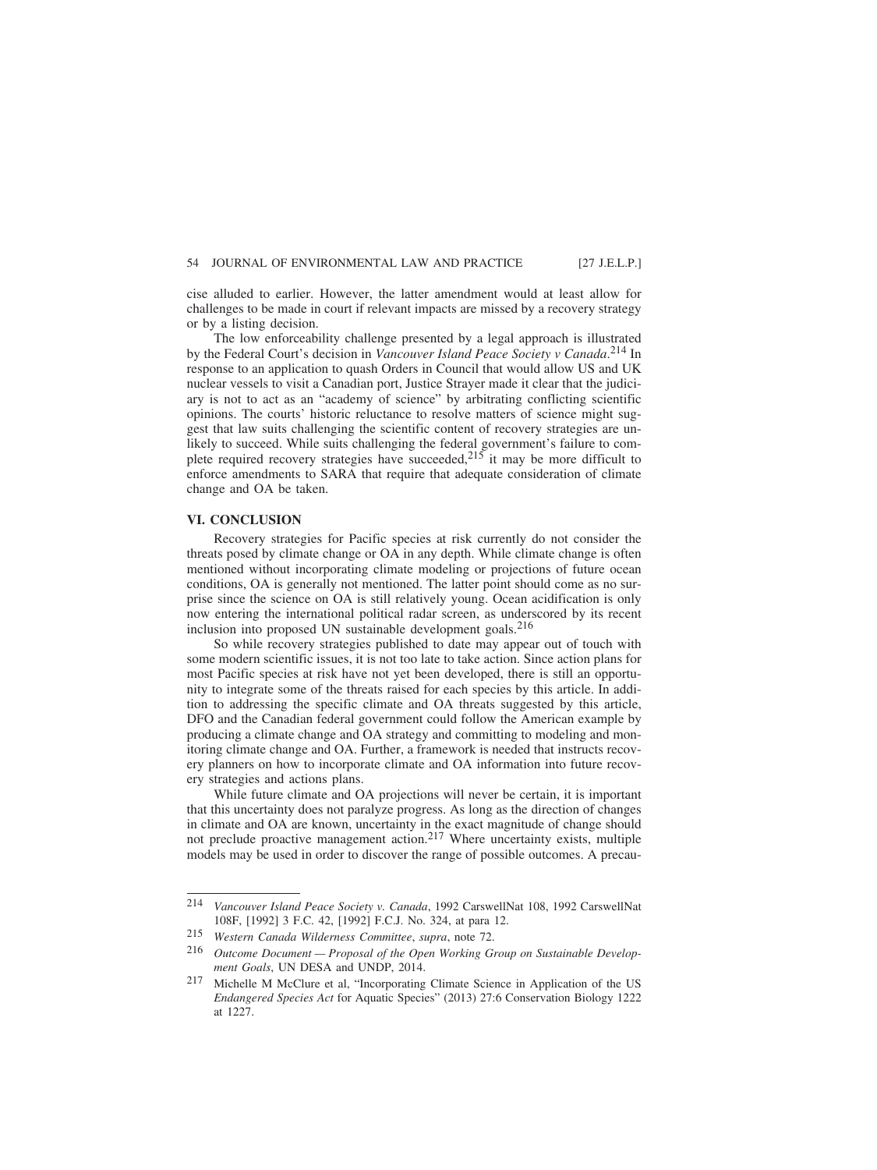cise alluded to earlier. However, the latter amendment would at least allow for challenges to be made in court if relevant impacts are missed by a recovery strategy or by a listing decision.

The low enforceability challenge presented by a legal approach is illustrated by the Federal Court's decision in *Vancouver Island Peace Society v Canada*. 214 In response to an application to quash Orders in Council that would allow US and UK nuclear vessels to visit a Canadian port, Justice Strayer made it clear that the judiciary is not to act as an "academy of science" by arbitrating conflicting scientific opinions. The courts' historic reluctance to resolve matters of science might suggest that law suits challenging the scientific content of recovery strategies are unlikely to succeed. While suits challenging the federal government's failure to complete required recovery strategies have succeeded,  $215$  it may be more difficult to enforce amendments to SARA that require that adequate consideration of climate change and OA be taken.

## **VI. CONCLUSION**

Recovery strategies for Pacific species at risk currently do not consider the threats posed by climate change or OA in any depth. While climate change is often mentioned without incorporating climate modeling or projections of future ocean conditions, OA is generally not mentioned. The latter point should come as no surprise since the science on OA is still relatively young. Ocean acidification is only now entering the international political radar screen, as underscored by its recent inclusion into proposed UN sustainable development goals.216

So while recovery strategies published to date may appear out of touch with some modern scientific issues, it is not too late to take action. Since action plans for most Pacific species at risk have not yet been developed, there is still an opportunity to integrate some of the threats raised for each species by this article. In addition to addressing the specific climate and OA threats suggested by this article, DFO and the Canadian federal government could follow the American example by producing a climate change and OA strategy and committing to modeling and monitoring climate change and OA. Further, a framework is needed that instructs recovery planners on how to incorporate climate and OA information into future recovery strategies and actions plans.

While future climate and OA projections will never be certain, it is important that this uncertainty does not paralyze progress. As long as the direction of changes in climate and OA are known, uncertainty in the exact magnitude of change should not preclude proactive management action.<sup>217</sup> Where uncertainty exists, multiple models may be used in order to discover the range of possible outcomes. A precau-

<sup>214</sup> *Vancouver Island Peace Society v. Canada*, 1992 CarswellNat 108, 1992 CarswellNat 108F, [1992] 3 F.C. 42, [1992] F.C.J. No. 324, at para 12.

<sup>215</sup> *Western Canada Wilderness Committee*, *supra*, note 72.

<sup>216</sup> *Outcome Document — Proposal of the Open Working Group on Sustainable Development Goals*, UN DESA and UNDP, 2014.

<sup>217</sup> Michelle M McClure et al, "Incorporating Climate Science in Application of the US *Endangered Species Act* for Aquatic Species" (2013) 27:6 Conservation Biology 1222 at 1227.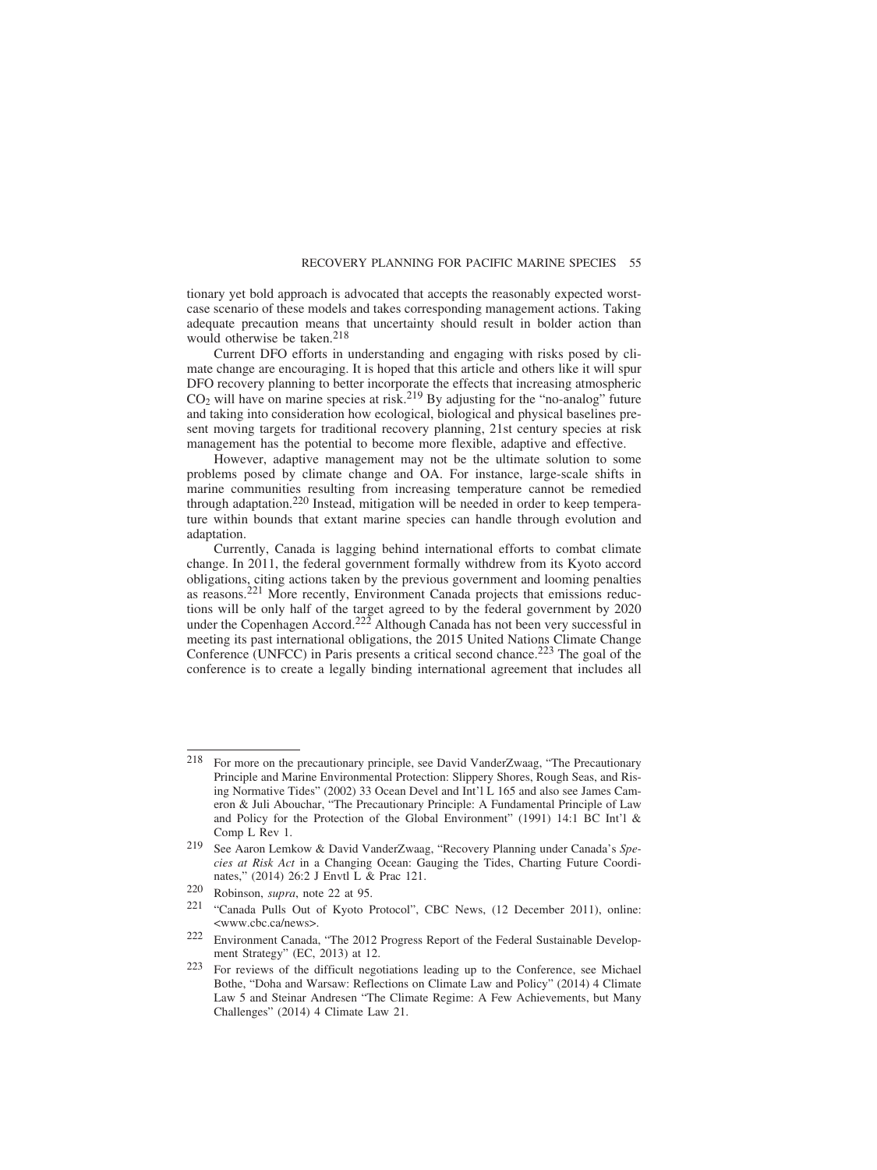tionary yet bold approach is advocated that accepts the reasonably expected worstcase scenario of these models and takes corresponding management actions. Taking adequate precaution means that uncertainty should result in bolder action than would otherwise be taken.<sup>218</sup>

Current DFO efforts in understanding and engaging with risks posed by climate change are encouraging. It is hoped that this article and others like it will spur DFO recovery planning to better incorporate the effects that increasing atmospheric  $CO<sub>2</sub>$  will have on marine species at risk.<sup>219</sup> By adjusting for the "no-analog" future and taking into consideration how ecological, biological and physical baselines present moving targets for traditional recovery planning, 21st century species at risk management has the potential to become more flexible, adaptive and effective.

However, adaptive management may not be the ultimate solution to some problems posed by climate change and OA. For instance, large-scale shifts in marine communities resulting from increasing temperature cannot be remedied through adaptation.220 Instead, mitigation will be needed in order to keep temperature within bounds that extant marine species can handle through evolution and adaptation.

Currently, Canada is lagging behind international efforts to combat climate change. In 2011, the federal government formally withdrew from its Kyoto accord obligations, citing actions taken by the previous government and looming penalties as reasons.221 More recently, Environment Canada projects that emissions reductions will be only half of the target agreed to by the federal government by 2020 under the Copenhagen Accord.<sup>222</sup> Although Canada has not been very successful in meeting its past international obligations, the 2015 United Nations Climate Change Conference (UNFCC) in Paris presents a critical second chance.223 The goal of the conference is to create a legally binding international agreement that includes all

<sup>218</sup> For more on the precautionary principle, see David VanderZwaag, "The Precautionary Principle and Marine Environmental Protection: Slippery Shores, Rough Seas, and Rising Normative Tides" (2002) 33 Ocean Devel and Int'l L 165 and also see James Cameron & Juli Abouchar, "The Precautionary Principle: A Fundamental Principle of Law and Policy for the Protection of the Global Environment" (1991) 14:1 BC Int'l & Comp L Rev 1.

<sup>219</sup> See Aaron Lemkow & David VanderZwaag, "Recovery Planning under Canada's *Species at Risk Act* in a Changing Ocean: Gauging the Tides, Charting Future Coordinates," (2014) 26:2 J Envtl L & Prac 121.

<sup>220</sup> Robinson, *supra*, note 22 at 95.

<sup>&</sup>quot;Canada Pulls Out of Kyoto Protocol", CBC News, (12 December 2011), online: <www.cbc.ca/news>.

<sup>222</sup> Environment Canada, "The 2012 Progress Report of the Federal Sustainable Development Strategy" (EC, 2013) at 12.

<sup>223</sup> For reviews of the difficult negotiations leading up to the Conference, see Michael Bothe, "Doha and Warsaw: Reflections on Climate Law and Policy" (2014) 4 Climate Law 5 and Steinar Andresen "The Climate Regime: A Few Achievements, but Many Challenges" (2014) 4 Climate Law 21.